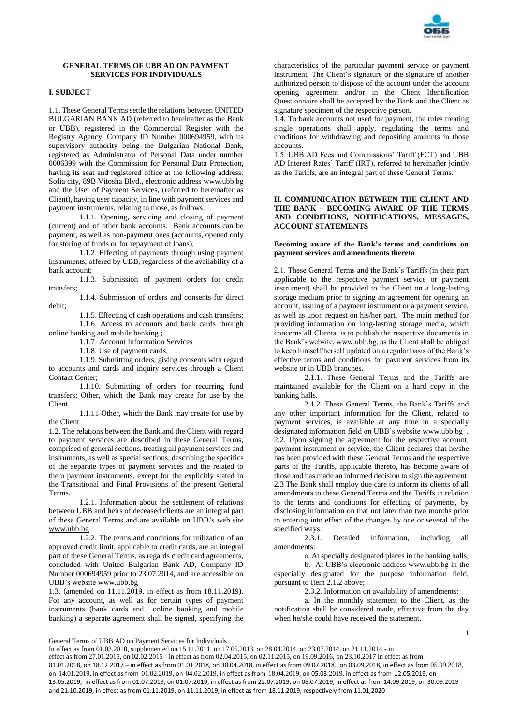

## **GENERAL TERMS OF UBB AD ON PAYMENT SERVICES FOR INDIVIDUALS**

# **I. SUBJECT**

1.1. These General Terms settle the relations between UNITED BULGARIAN BANK AD (referred to hereinafter as the Bank or UBB), registered in the Commercial Register with the Registry Agency, Company ID Number 000694959, with its supervisory authority being the Bulgarian National Bank, registered as Administrator of Personal Data under number 0006399 with the Commission for Personal Data Protection, having its seat and registered office at the following address: Sofia city, 89B Vitosha Blvd., electronic address [www.ubb.bg](http://www.ubb.bg/) and the User of Payment Services, (referred to hereinafter as Client), having user capacity, in line with payment services and payment instruments, relating to those, as follows:

1.1.1. Opening, servicing and closing of payment (current) and of other bank accounts. Bank accounts can be payment, as well as non-payment ones (accounts, opened only for storing of funds or for repayment of loans);

1.1.2. Effecting of payments through using payment instruments, offered by UBB, regardless of the availability of a bank account;

1.1.3. Submission of payment orders for credit transfers;

1.1.4. Submission of orders and consents for direct debit;

1.1.5. Effecting of cash operations and cash transfers; 1.1.6. Access to accounts and bank cards through online banking and mobile banking ;

1.1.7. Account Information Services

1.1.8. Use of payment cards.

1.1.9. Submitting orders, giving consents with regard to accounts and cards and inquiry services through a Client Contact Center;

1.1.10. Submitting of orders for recurring fund transfers; Other, which the Bank may create for use by the Client.

1.1.11 Other, which the Bank may create for use by the Client.

1.2. The relations between the Bank and the Client with regard to payment services are described in these General Terms, comprised of general sections, treating all payment services and instruments, as well as special sections, describing the specifics of the separate types of payment services and the related to them payment instruments, except for the explicitly stated in the Transitional and Final Provisions of the present General Terms.

1.2.1. Information about the settlement of relations between UBB and heirs of deceased clients are an integral part of these General Terms and are available on UBB's web site [www.ubb.bg](http://www.ubb.bg/)

1.2.2. The terms and conditions for utilization of an approved credit limit, applicable to credit cards, are an integral part of these General Terms, as regards credit card agreements, concluded with United Bulgarian Bank AD, Company ID Number 000694959 prior to 23.07.2014, and are accessible on UBB's websit[e www.ubb.bg](http://www.ubb.bg/)

1.3. (amended on 11.11.2019, in effect as from 18.11.2019). For any account, as well as for certain types of payment instruments (bank cards and online banking and mobile banking) a separate agreement shall be signed, specifying the characteristics of the particular payment service or payment instrument. The Client's signature or the signature of another authorized person to dispose of the account under the account opening agreement and/or in the Client Identification Questionnaire shall be accepted by the Bank and the Client as signature specimen of the respective person.

1.4. To bank accounts not used for payment, the rules treating single operations shall apply, regulating the terms and conditions for withdrawing and depositing amounts in those accounts.

1.5. UBB AD Fees and Commissions' Tariff (FCT) and UBB AD Interest Rates' Tariff (IRT), referred to hereinafter jointly as the Tariffs, are an integral part of these General Terms.

## **II. COMMUNICATION BETWEEN THE CLIENT AND THE BANK – BECOMING AWARE OF THE TERMS AND CONDITIONS, NOTIFICATIONS, MESSAGES, ACCOUNT STATEMENTS**

## **Becoming aware of the Bank's terms and conditions on payment services and amendments thereto**

2.1. These General Terms and the Bank's Tariffs (in their part applicable to the respective payment service or payment instrument) shall be provided to the Client on a long-lasting storage medium prior to signing an agreement for opening an account, issuing of a payment instrument or a payment service, as well as upon request on his/her part. The main method for providing information on long-lasting storage media, which concerns all Clients, is to publish the respective documents in the Bank's website, www.ubb.bg, as the Client shall be obliged to keep himself/herself updated on a regular basis of the Bank's effective terms and conditions for payment services from its website or in UBB branches.

2.1.1. These General Terms and the Tariffs are maintained available for the Client on a hard copy in the banking halls.

2.1.2. These General Terms, the Bank's Tariffs and any other important information for the Client, related to payment services, is available at any time in a specially designated information field on UBB's websit[e www.ubb.bg](http://www.ubb.bg/) . 2.2. Upon signing the agreement for the respective account, payment instrument or service, the Client declares that he/she has been provided with these General Terms and the respective parts of the Tariffs, applicable thereto, has become aware of those and has made an informed decision to sign the agreement. 2.3 The Bank shall employ due care to inform its clients of all amendments to these General Terms and the Tariffs in relation to the terms and conditions for effecting of payments, by disclosing information on that not later than two months prior to entering into effect of the changes by one or several of the specified ways:

2.3.1. Detailed information, including all amendments:

а. At specially designated places in the banking halls;

b. At UBB's electronic address [www.ubb.bg](http://www.ubb.bg/) in the especially designated for the purpose information field, pursuant to Item 2.1.2 above;

2.3.2. Information on availability of amendments:

1

а. In the monthly statement to the Client, as the notification shall be considered made, effective from the day when he/she could have received the statement.

General Terms of UBB AD on Payment Services for Individuals

In effect as from 01.03.2010, supplemented on 15.11.2011, on 17.05.2013, on 28.04.2014, on 23.07.2014, on 21.11.2014 - in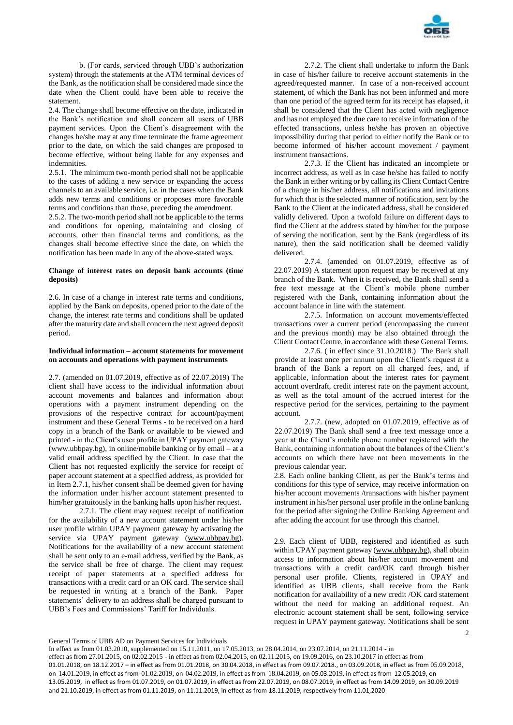

b. (For cards, serviced through UBB's authorization system) through the statements at the ATM terminal devices of the Bank, as the notification shall be considered made since the date when the Client could have been able to receive the statement.

2.4. The change shall become effective on the date, indicated in the Bank's notification and shall concern all users of UBB payment services. Upon the Client's disagreement with the changes he/she may at any time terminate the frame agreement prior to the date, on which the said changes are proposed to become effective, without being liable for any expenses and indemnities.

2.5.1. The minimum two-month period shall not be applicable to the cases of adding a new service or expanding the access channels to an available service, i.e. in the cases when the Bank adds new terms and conditions or proposes more favorable terms and conditions than those, preceding the amendment.

2.5.2. The two-month period shall not be applicable to the terms and conditions for opening, maintaining and closing of accounts, other than financial terms and conditions, as the changes shall become effective since the date, on which the notification has been made in any of the above-stated ways.

## **Change of interest rates on deposit bank accounts (time deposits)**

2.6. In case of a change in interest rate terms and conditions, applied by the Bank on deposits, opened prior to the date of the change, the interest rate terms and conditions shall be updated after the maturity date and shall concern the next agreed deposit period.

### **Individual information – account statements for movement on accounts and operations with payment instruments**

2.7. (amended on 01.07.2019, effective as of 22.07.2019) The client shall have access to the individual information about account movements and balances and information about operations with a payment instrument depending on the provisions of the respective contract for account/payment instrument and these General Terms - to be received on a hard copy in a branch of the Bank or available to be viewed and printed - in the Client's user profile in UPAY payment gateway (www.ubbpay.bg), in online/mobile banking or by email – at a valid email address specified by the Client. In case that the Client has not requested explicitly the service for receipt of paper account statement at a specified address, as provided for in Item 2.7.1, his/her consent shall be deemed given for having the information under his/her account statement presented to him/her gratuitously in the banking halls upon his/her request.

2.7.1. The client may request receipt of notification for the availability of a new account statement under his/her user profile within UPAY payment gateway by activating the service via UPAY payment gateway [\(www.ubbpay.bg\)](http://www.ubbpay.bg/). Notifications for the availability of a new account statement shall be sent only to an e-mail address, verified by the Bank, as the service shall be free of charge. The client may request receipt of paper statements at a specified address for transactions with a credit card or an OK card. The service shall be requested in writing at a branch of the Bank. Paper statements' delivery to an address shall be charged pursuant to UBB's Fees and Commissions' Tariff for Individuals.

2.7.2. The client shall undertake to inform the Bank in case of his/her failure to receive account statements in the agreed/requested manner. In case of a non-received account statement, of which the Bank has not been informed and more than one period of the agreed term for its receipt has elapsed, it shall be considered that the Client has acted with negligence and has not employed the due care to receive information of the effected transactions, unless he/she has proven an objective impossibility during that period to either notify the Bank or to become informed of his/her account movement / payment instrument transactions.

2.7.3. If the Client has indicated an incomplete or incorrect address, as well as in case he/she has failed to notify the Bank in either writing or by calling its Client Contact Centre of a change in his/her address, all notifications and invitations for which that is the selected manner of notification, sent by the Bank to the Client at the indicated address, shall be considered validly delivered. Upon a twofold failure on different days to find the Client at the address stated by him/her for the purpose of serving the notification, sent by the Bank (regardless of its nature), then the said notification shall be deemed validly delivered.

2.7.4. (amended on 01.07.2019, effective as of 22.07.2019) A statement upon request may be received at any branch of the Bank. When it is received, the Bank shall send a free text message at the Client's mobile phone number registered with the Bank, containing information about the account balance in line with the statement.

2.7.5. Information on account movements/effected transactions over a current period (encompassing the current and the previous month) may be also obtained through the Client Contact Centre, in accordance with these General Terms.

2.7.6. ( in effect since 31.10.2018.) The Bank shall provide at least once per annum upon the Client's request at a branch of the Bank a report on all charged fees, and, if applicable, information about the interest rates for payment account overdraft, credit interest rate on the payment account, as well as the total amount of the accrued interest for the respective period for the services, pertaining to the payment account.

2.7.7. (new, adopted on 01.07.2019, effective as of 22.07.2019) The Bank shall send a free text message once a year at the Client's mobile phone number registered with the Bank, containing information about the balances of the Client's accounts on which there have not been movements in the previous calendar year.

2.8. Each online banking Client, as per the Bank's terms and conditions for this type of service, may receive information on his/her account movements /transactions with his/her payment instrument in his/her personal user profile in the online banking for the period after signing the Online Banking Agreement and after adding the account for use through this channel.

2.9. Each client of UBB, registered and identified as such within UPAY payment gateway [\(www.ubbpay.bg\)](http://www.ubbpay.bg/), shall obtain access to information about his/her account movement and transactions with a credit card/OK card through his/her personal user profile. Clients, registered in UPAY and identified as UBB clients, shall receive from the Bank notification for availability of a new credit /OK card statement without the need for making an additional request. An electronic account statement shall be sent, following service request in UPAY payment gateway. Notifications shall be sent

 $\mathfrak{Z}$ 

```
General Terms of UBB AD on Payment Services for Individuals
```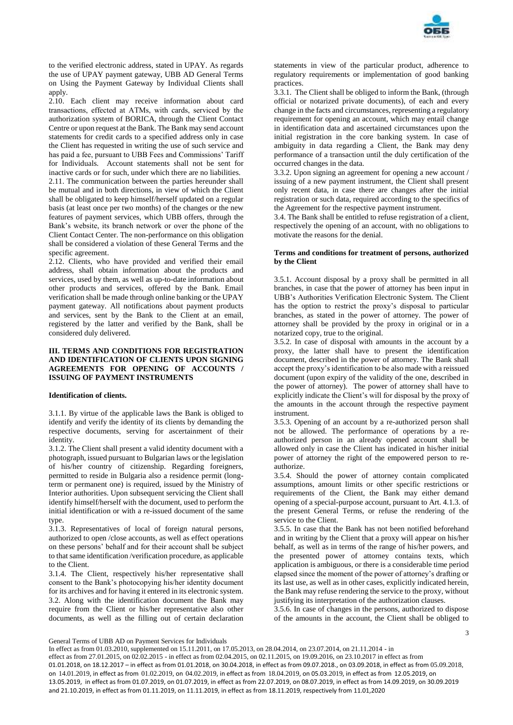

to the verified electronic address, stated in UPAY. As regards the use of UPAY payment gateway, UBB AD General Terms on Using the Payment Gateway by Individual Clients shall apply

2.10. Each client may receive information about card transactions, effected at АТМs, with cards, serviced by the authorization system of BORICA, through the Client Contact Centre or upon request at the Bank. The Bank may send account statements for credit cards to a specified address only in case the Client has requested in writing the use of such service and has paid a fee, pursuant to UBB Fees and Commissions' Tariff for Individuals. Account statements shall not be sent for inactive cards or for such, under which there are no liabilities.

2.11. The communication between the parties hereunder shall be mutual and in both directions, in view of which the Client shall be obligated to keep himself/herself updated on a regular basis (at least once per two months) of the changes or the new features of payment services, which UBB offers, through the Bank's website, its branch network or over the phone of the Client Contact Center. The non-performance on this obligation shall be considered a violation of these General Terms and the specific agreement.

2.12. Clients, who have provided and verified their email address, shall obtain information about the products and services, used by them, as well as up-to-date information about other products and services, offered by the Bank. Email verification shall be made through online banking or the UPAY payment gateway. All notifications about payment products and services, sent by the Bank to the Client at an email, registered by the latter and verified by the Bank, shall be considered duly delivered.

## **III. TERMS AND CONDITIONS FOR REGISTRATION AND IDENTIFICATION OF CLIENTS UPON SIGNING AGREEMENTS FOR OPENING OF ACCOUNTS / ISSUING OF PAYMENT INSTRUMENTS**

### **Identification of clients.**

3.1.1. By virtue of the applicable laws the Bank is obliged to identify and verify the identity of its clients by demanding the respective documents, serving for ascertainment of their identity.

3.1.2. The Client shall present a valid identity document with a photograph, issued pursuant to Bulgarian laws or the legislation of his/her country of citizenship. Regarding foreigners, permitted to reside in Bulgaria also a residence permit (longterm or permanent one) is required, issued by the Ministry of Interior authorities. Upon subsequent servicing the Client shall identify himself/herself with the document, used to perform the initial identification or with a re-issued document of the same type.

3.1.3. Representatives of local of foreign natural persons, authorized to open /close accounts, as well as effect operations on these persons' behalf and for their account shall be subject to that same identification /verification procedure, as applicable to the Client.

3.1.4. The Client, respectively his/her representative shall consent to the Bank's photocopying his/her identity document for its archives and for having it entered in its electronic system. 3.2. Along with the identification document the Bank may require from the Client or his/her representative also other documents, as well as the filling out of certain declaration

statements in view of the particular product, adherence to regulatory requirements or implementation of good banking practices.

3.3.1. The Client shall be obliged to inform the Bank, (through official or notarized private documents), of each and every change in the facts and circumstances, representing a regulatory requirement for opening an account, which may entail change in identification data and ascertained circumstances upon the initial registration in the core banking system. In case of ambiguity in data regarding a Client, the Bank may deny performance of a transaction until the duly certification of the occurred changes in the data.

3.3.2. Upon signing an agreement for opening a new account / issuing of a new payment instrument, the Client shall present only recent data, in case there are changes after the initial registration or such data, required according to the specifics of the Agreement for the respective payment instrument.

3.4. The Bank shall be entitled to refuse registration of a client, respectively the opening of an account, with no obligations to motivate the reasons for the denial.

### **Terms and conditions for treatment of persons, authorized by the Client**

3.5.1. Account disposal by a proxy shall be permitted in all branches, in case that the power of attorney has been input in UBB's Authorities Verification Electronic System. The Client has the option to restrict the proxy's disposal to particular branches, as stated in the power of attorney. The power of attorney shall be provided by the proxy in original or in a notarized copy, true to the original.

3.5.2. In case of disposal with amounts in the account by a proxy, the latter shall have to present the identification document, described in the power of attorney. The Bank shall accept the proxy's identification to be also made with a reissued document (upon expiry of the validity of the one, described in the power of attorney). The power of attorney shall have to explicitly indicate the Client's will for disposal by the proxy of the amounts in the account through the respective payment instrument.

3.5.3. Opening of an account by a re-authorized person shall not be allowed. The performance of operations by a reauthorized person in an already opened account shall be allowed only in case the Client has indicated in his/her initial power of attorney the right of the empowered person to reauthorize.

3.5.4. Should the power of attorney contain complicated assumptions, amount limits or other specific restrictions or requirements of the Client, the Bank may either demand opening of a special-purpose account, pursuant to Art. 4.1.3. of the present General Terms, or refuse the rendering of the service to the Client.

3.5.5. In case that the Bank has not been notified beforehand and in writing by the Client that a proxy will appear on his/her behalf, as well as in terms of the range of his/her powers, and the presented power of attorney contains texts, which application is ambiguous, or there is a considerable time period elapsed since the moment of the power of attorney's drafting or its last use, as well as in other cases, explicitly indicated herein, the Bank may refuse rendering the service to the proxy, without justifying its interpretation of the authorization clauses.

3.5.6. In case of changes in the persons, authorized to dispose of the amounts in the account, the Client shall be obliged to

General Terms of UBB AD on Payment Services for Individuals

In effect as from 01.03.2010, supplemented on 15.11.2011, on 17.05.2013, on 28.04.2014, on 23.07.2014, on 21.11.2014 - in effect as from 27.01.2015, on 02.02.2015 - in effect as from 02.04.2015, on 02.11.2015, on 19.09.2016, on 23.10.2017 in effect as from 01.01.2018, on 18.12.2017 – in effect as from 01.01.2018, on 30.04.2018, in effect as from 09.07.2018., on 03.09.2018, in effect as from 05.09.2018, on 14.01.2019, in effect as from 01.02.2019, on 04.02.2019, in effect as from 18.04.2019, on 05.03.2019, in effect as from 12.05.2019, on 13.05.2019, in effect as from 01.07.2019, on 01.07.2019, in effect as from 22.07.2019, on 08.07.2019, in effect as from 14.09.2019, on 30.09.2019 and 21.10.2019, in effect as from 01.11.2019, on 11.11.2019, in effect as from 18.11.2019, respectively from 11.01,2020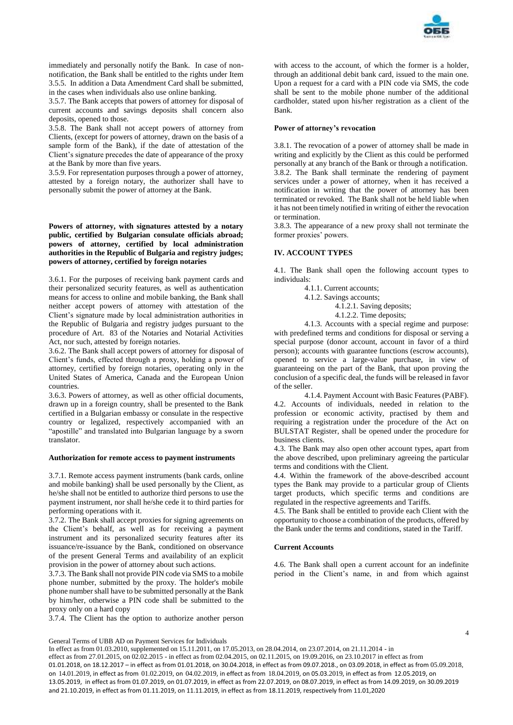

immediately and personally notify the Bank. In case of nonnotification, the Bank shall be entitled to the rights under Item 3.5.5. In addition a Data Amendment Card shall be submitted, in the cases when individuals also use online banking.

3.5.7. The Bank accepts that powers of attorney for disposal of current accounts and savings deposits shall concern also deposits, opened to those.

3.5.8. The Bank shall not accept powers of attorney from Clients, (except for powers of attorney, drawn on the basis of a sample form of the Bank), if the date of attestation of the Client's signature precedes the date of appearance of the proxy at the Bank by more than five years.

3.5.9. For representation purposes through a power of attorney, attested by a foreign notary, the authorizer shall have to personally submit the power of attorney at the Bank.

**Powers of attorney, with signatures attested by a notary public, certified by Bulgarian consulate officials abroad; powers of attorney, certified by local administration authorities in the Republic of Bulgaria and registry judges; powers of attorney, certified by foreign notaries**

3.6.1. For the purposes of receiving bank payment cards and their personalized security features, as well as authentication means for access to online and mobile banking, the Bank shall neither accept powers of attorney with attestation of the Client's signature made by local administration authorities in the Republic of Bulgaria and registry judges pursuant to the procedure of Art. 83 of the Notaries and Notarial Activities Act, nor such, attested by foreign notaries.

3.6.2. The Bank shall accept powers of attorney for disposal of Client's funds, effected through a proxy, holding a power of attorney, certified by foreign notaries, operating only in the United States of America, Canada and the European Union countries.

3.6.3. Powers of attorney, as well as other official documents, drawn up in a foreign country, shall be presented to the Bank certified in a Bulgarian embassy or consulate in the respective country or legalized, respectively accompanied with an "apostille" and translated into Bulgarian language by a sworn translator.

### **Authorization for remote access to payment instruments**

3.7.1. Remote access payment instruments (bank cards, online and mobile banking) shall be used personally by the Client, as he/she shall not be entitled to authorize third persons to use the payment instrument, nor shall he/she cede it to third parties for performing operations with it.

3.7.2. The Bank shall accept proxies for signing agreements on the Client's behalf, as well as for receiving a payment instrument and its personalized security features after its issuance/re-issuance by the Bank, conditioned on observance of the present General Terms and availability of an explicit provision in the power of attorney about such actions.

3.7.3. The Bank shall not provide PIN code via SMS to a mobile phone number, submitted by the proxy. The holder's mobile phone number shall have to be submitted personally at the Bank by him/her, otherwise a PIN code shall be submitted to the proxy only on a hard copy

3.7.4. The Client has the option to authorize another person

with access to the account, of which the former is a holder, through an additional debit bank card, issued to the main one. Upon a request for a card with a PIN code via SMS, the code shall be sent to the mobile phone number of the additional cardholder, stated upon his/her registration as a client of the Bank.

### **Power of attorney's revocation**

3.8.1. The revocation of a power of attorney shall be made in writing and explicitly by the Client as this could be performed personally at any branch of the Bank or through a notification. 3.8.2. The Bank shall terminate the rendering of payment services under a power of attorney, when it has received a notification in writing that the power of attorney has been terminated or revoked. The Bank shall not be held liable when it has not been timely notified in writing of either the revocation or termination.

3.8.3. The appearance of a new proxy shall not terminate the former proxies' powers.

## **IV. ACCOUNT TYPES**

4.1. The Bank shall open the following account types to individuals:

4.1.1. Current accounts;

- 4.1.2. Savings accounts;
	- 4.1.2.1. Saving deposits;

4.1.2.2. Time deposits;

4.1.3. Accounts with a special regime and purpose: with predefined terms and conditions for disposal or serving a special purpose (donor account, account in favor of a third person); accounts with guarantee functions (escrow accounts), opened to service a large-value purchase, in view of guaranteeing on the part of the Bank, that upon proving the conclusion of a specific deal, the funds will be released in favor of the seller.

4.1.4. Payment Account with Basic Features (PABF). 4.2. Accounts of individuals, needed in relation to the profession or economic activity, practised by them and requiring a registration under the procedure of the Act on BULSTAT Register, shall be opened under the procedure for business clients.

4.3. The Bank may also open other account types, apart from the above described, upon preliminary agreeing the particular terms and conditions with the Client.

4.4. Within the framework of the above-described account types the Bank may provide to a particular group of Clients target products, which specific terms and conditions are regulated in the respective agreements and Tariffs.

4.5. The Bank shall be entitled to provide each Client with the opportunity to choose a combination of the products, offered by the Bank under the terms and conditions, stated in the Tariff.

## **Current Accounts**

4.6. The Bank shall open a current account for an indefinite period in the Client's name, in and from which against

General Terms of UBB AD on Payment Services for Individuals

In effect as from 01.03.2010, supplemented on 15.11.2011, on 17.05.2013, on 28.04.2014, on 23.07.2014, on 21.11.2014 - in effect as from 27.01.2015, on 02.02.2015 - in effect as from 02.04.2015, on 02.11.2015, on 19.09.2016, on 23.10.2017 in effect as from 01.01.2018, on 18.12.2017 – in effect as from 01.01.2018, on 30.04.2018, in effect as from 09.07.2018., on 03.09.2018, in effect as from 05.09.2018, on 14.01.2019, in effect as from 01.02.2019, on 04.02.2019, in effect as from 18.04.2019, on 05.03.2019, in effect as from 12.05.2019, on 13.05.2019, in effect as from 01.07.2019, on 01.07.2019, in effect as from 22.07.2019, on 08.07.2019, in effect as from 14.09.2019, on 30.09.2019 and 21.10.2019, in effect as from 01.11.2019, on 11.11.2019, in effect as from 18.11.2019, respectively from 11.01,2020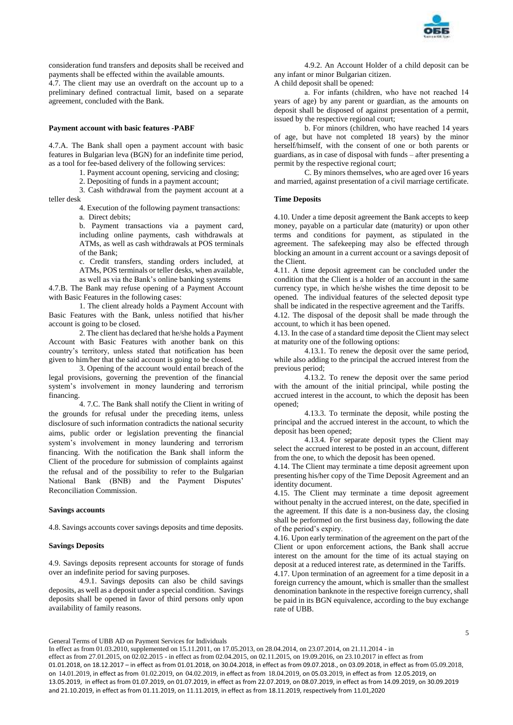

consideration fund transfers and deposits shall be received and payments shall be effected within the available amounts.

4.7. The client may use an overdraft on the account up to a preliminary defined contractual limit, based on a separate agreement, concluded with the Bank.

## **Payment account with basic features -PABF**

4.7.A. The Bank shall open a payment account with basic features in Bulgarian leva (BGN) for an indefinite time period, as a tool for fee-based delivery of the following services:

1. Payment account opening, servicing and closing;

2. Depositing of funds in a payment account;

3. Cash withdrawal from the payment account at a teller desk

> 4. Execution of the following payment transactions: а. Direct debits;

b. Payment transactions via a payment card, including online payments, cash withdrawals at ATMs, as well as cash withdrawals at POS terminals of the Bank;

c. Credit transfers, standing orders included, at ATMs, POS terminals or teller desks, when available,

as well as via the Bank's online banking systems

4.7.B. The Bank may refuse opening of a Payment Account with Basic Features in the following cases:

1. The client already holds a Payment Account with Basic Features with the Bank, unless notified that his/her account is going to be closed.

2. The client has declared that he/she holds a Payment Account with Basic Features with another bank on this country's territory, unless stated that notification has been given to him/her that the said account is going to be closed.

3. Opening of the account would entail breach of the legal provisions, governing the prevention of the financial system's involvement in money laundering and terrorism financing.

4. 7.C. The Bank shall notify the Client in writing of the grounds for refusal under the preceding items, unless disclosure of such information contradicts the national security aims, public order or legislation preventing the financial system's involvement in money laundering and terrorism financing. With the notification the Bank shall inform the Client of the procedure for submission of complaints against the refusal and of the possibility to refer to the Bulgarian National Bank (BNB) and the Payment Disputes' Reconciliation Commission.

### **Savings accounts**

4.8. Savings accounts cover savings deposits and time deposits.

### **Savings Deposits**

4.9. Savings deposits represent accounts for storage of funds over an indefinite period for saving purposes.

4.9.1. Savings deposits can also be child savings deposits, as well as a deposit under a special condition. Savings deposits shall be opened in favor of third persons only upon availability of family reasons.

4.9.2. An Account Holder of a child deposit can be any infant or minor Bulgarian citizen.

A child deposit shall be opened:

а. For infants (children, who have not reached 14 years of age) by any parent or guardian, as the amounts on deposit shall be disposed of against presentation of a permit, issued by the respective regional court;

b. For minors (children, who have reached 14 years of age, but have not completed 18 years) by the minor herself/himself, with the consent of one or both parents or guardians, as in case of disposal with funds – after presenting a permit by the respective regional court;

C. By minors themselves, who are aged over 16 years and married, against presentation of a civil marriage certificate.

# **Time Deposits**

4.10. Under a time deposit agreement the Bank accepts to keep money, payable on a particular date (maturity) or upon other terms and conditions for payment, as stipulated in the agreement. The safekeeping may also be effected through blocking an amount in a current account or a savings deposit of the Client.

4.11. A time deposit agreement can be concluded under the condition that the Client is a holder of an account in the same currency type, in which he/she wishes the time deposit to be opened. The individual features of the selected deposit type shall be indicated in the respective agreement and the Tariffs.

4.12. The disposal of the deposit shall be made through the account, to which it has been opened.

4.13. In the case of a standard time deposit the Client may select at maturity one of the following options:

4.13.1. To renew the deposit over the same period, while also adding to the principal the accrued interest from the previous period;

4.13.2. To renew the deposit over the same period with the amount of the initial principal, while posting the accrued interest in the account, to which the deposit has been opened;

4.13.3. To terminate the deposit, while posting the principal and the accrued interest in the account, to which the deposit has been opened;

4.13.4. For separate deposit types the Client may select the accrued interest to be posted in an account, different from the one, to which the deposit has been opened.

4.14. The Client may terminate a time deposit agreement upon presenting his/her copy of the Time Deposit Agreement and an identity document.

4.15. The Client may terminate a time deposit agreement without penalty in the accrued interest, on the date, specified in the agreement. If this date is a non-business day, the closing shall be performed on the first business day, following the date of the period's expiry.

4.16. Upon early termination of the agreement on the part of the Client or upon enforcement actions, the Bank shall accrue interest on the amount for the time of its actual staying on deposit at a reduced interest rate, as determined in the Tariffs.

4.17. Upon termination of an agreement for a time deposit in a foreign currency the amount, which is smaller than the smallest denomination banknote in the respective foreign currency, shall be paid in its BGN equivalence, according to the buy exchange rate of UBB.

General Terms of UBB AD on Payment Services for Individuals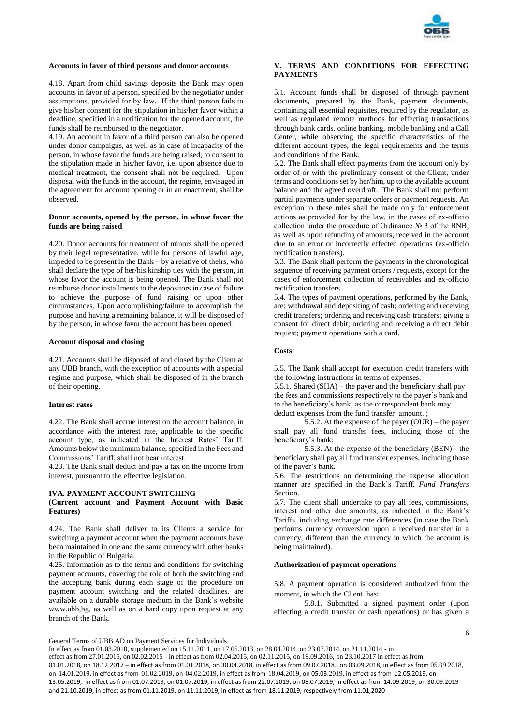

## **Accounts in favor of third persons and donor accounts**

4.18. Apart from child savings deposits the Bank may open accounts in favor of a person, specified by the negotiator under assumptions, provided for by law. If the third person fails to give his/her consent for the stipulation in his/her favor within a deadline, specified in a notification for the opened account, the funds shall be reimbursed to the negotiator.

4.19. An account in favor of a third person can also be opened under donor campaigns, as well as in case of incapacity of the person, in whose favor the funds are being raised, to consent to the stipulation made in his/her favor, i.e. upon absence due to medical treatment, the consent shall not be required. Upon disposal with the funds in the account, the regime, envisaged in the agreement for account opening or in an enactment, shall be observed.

## **Donor accounts, opened by the person, in whose favor the funds are being raised**

4.20. Donor accounts for treatment of minors shall be opened by their legal representative, while for persons of lawful age, impeded to be present in the Bank – by a relative of theirs, who shall declare the type of her/his kinship ties with the person, in whose favor the account is being opened. The Bank shall not reimburse donor installments to the depositors in case of failure to achieve the purpose of fund raising or upon other circumstances. Upon accomplishing/failure to accomplish the purpose and having a remaining balance, it will be disposed of by the person, in whose favor the account has been opened.

### **Account disposal and closing**

4.21. Accounts shall be disposed of and closed by the Client at any UBB branch, with the exception of accounts with a special regime and purpose, which shall be disposed of in the branch of their opening.

## **Interest rates**

4.22. The Bank shall accrue interest on the account balance, in accordance with the interest rate, applicable to the specific account type, as indicated in the Interest Rates' Tariff. Amounts below the minimum balance, specified in the Fees and Commissions' Tariff, shall not bear interest.

4.23. The Bank shall deduct and pay a tax on the income from interest, pursuant to the effective legislation.

## **IVA. PAYMENT ACCOUNT SWITCHING**

## **(Current account and Payment Account with Basic Features)**

4.24. The Bank shall deliver to its Clients a service for switching a payment account when the payment accounts have been maintained in one and the same currency with other banks in the Republic of Bulgaria.

4.25. Information as to the terms and conditions for switching payment accounts, covering the role of both the switching and the accepting bank during each stage of the procedure on payment account switching and the related deadlines, are available on a durable storage medium in the Bank's website www.ubb,bg, as well as on a hard copy upon request at any branch of the Bank.

## **V. TERMS AND CONDITIONS FOR EFFECTING PAYMENTS**

5.1. Account funds shall be disposed of through payment documents, prepared by the Bank, payment documents, containing all essential requisites, required by the regulator, as well as regulated remote methods for effecting transactions through bank cards, online banking, mobile banking and a Call Center, while observing the specific characteristics of the different account types, the legal requirements and the terms and conditions of the Bank.

5.2. The Bank shall effect payments from the account only by order of or with the preliminary consent of the Client, under terms and conditions set by her/him, up to the available account balance and the agreed overdraft. The Bank shall not perform partial payments under separate orders or payment requests. An exception to these rules shall be made only for enforcement actions as provided for by the law, in the cases of ex-officio collection under the procedure of Ordinance № 3 of the BNB, as well as upon refunding of amounts, received in the account due to an error or incorrectly effected operations (ex-officio rectification transfers).

5.3. The Bank shall perform the payments in the chronological sequence of receiving payment orders / requests, except for the cases of enforcement collection of receivables and ex-officio rectification transfers.

5.4. The types of payment operations, performed by the Bank, are: withdrawal and depositing of cash; ordering and receiving credit transfers; ordering and receiving cash transfers; giving a consent for direct debit; ordering and receiving a direct debit request; payment operations with a card.

#### **Costs**

5.5. The Bank shall accept for execution credit transfers with the following instructions in terms of expenses:

5.5.1. Shared (SHA) – the payer and the beneficiary shall pay the fees and commissions respectively to the payer's bank and to the beneficiary's bank, as the correspondent bank may deduct expenses from the fund transfer amount. ;

5.5.2. At the expense of the payer (OUR) – the payer shall pay all fund transfer fees, including those of the beneficiary's bank;

5.5.3. At the expense of the beneficiary (BEN) - the beneficiary shall pay all fund transfer expenses, including those of the payer's bank.

5.6. The restrictions on determining the expense allocation manner are specified in the Bank's Tariff, *Fund Transfers* Section.

5.7. The client shall undertake to pay all fees, commissions, interest and other due amounts, as indicated in the Bank's Tariffs, including exchange rate differences (in case the Bank performs currency conversion upon a received transfer in a currency, different than the currency in which the account is being maintained).

### **Authorization of payment operations**

5.8. A payment operation is considered authorized from the moment, in which the Client has:

5.8.1. Submitted a signed payment order (upon effecting a credit transfer or cash operations) or has given a

General Terms of UBB AD on Payment Services for Individuals

In effect as from 01.03.2010, supplemented on 15.11.2011, on 17.05.2013, on 28.04.2014, on 23.07.2014, on 21.11.2014 - in effect as from 27.01.2015, on 02.02.2015 - in effect as from 02.04.2015, on 02.11.2015, on 19.09.2016, on 23.10.2017 in effect as from 01.01.2018, on 18.12.2017 – in effect as from 01.01.2018, on 30.04.2018, in effect as from 09.07.2018., on 03.09.2018, in effect as from 05.09.2018, on 14.01.2019, in effect as from 01.02.2019, on 04.02.2019, in effect as from 18.04.2019, on 05.03.2019, in effect as from 12.05.2019, on 13.05.2019, in effect as from 01.07.2019, on 01.07.2019, in effect as from 22.07.2019, on 08.07.2019, in effect as from 14.09.2019, on 30.09.2019 and 21.10.2019, in effect as from 01.11.2019, on 11.11.2019, in effect as from 18.11.2019, respectively from 11.01,2020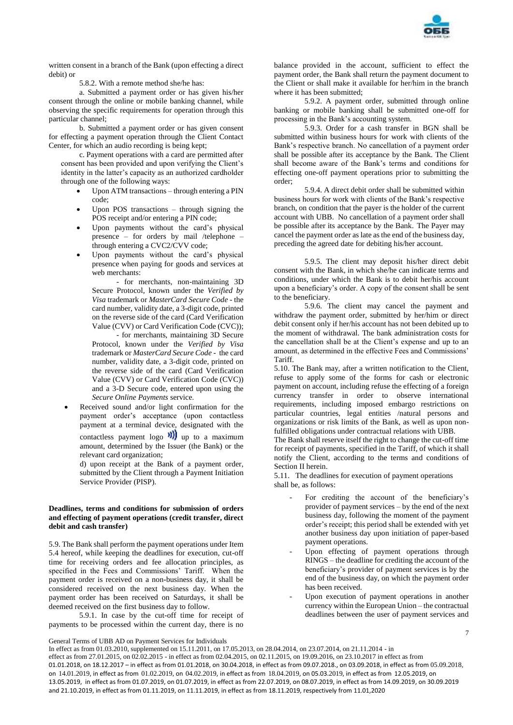

written consent in a branch of the Bank (upon effecting a direct debit) or

5.8.2. With a remote method she/he has:

a. Submitted a payment order or has given his/her consent through the online or mobile banking channel, while observing the specific requirements for operation through this particular channel;

b. Submitted a payment order or has given consent for effecting a payment operation through the Client Contact Center, for which an audio recording is being kept;

c. Payment operations with a card are permitted after consent has been provided and upon verifying the Client's identity in the latter's capacity as an authorized cardholder through one of the following ways:

- Upon ATM transactions through entering a PIN code;
- Upon POS transactions through signing the POS receipt and/or entering a PIN code;
- Upon payments without the card's physical presence – for orders by mail /telephone – through entering a CVC2/CVV code;
- Upon payments without the card's physical presence when paying for goods and services at web merchants:

- for merchants, non-maintaining 3D Secure Protocol, known under the *Verified by Visa* trademark or *MasterCard Secure Code* - the card number, validity date, a 3-digit code, printed on the reverse side of the card (Card Verification Value (CVV) or Card Verification Code (CVC));

- for merchants, maintaining 3D Secure Protocol, known under the *Verified by Visa* trademark or *MasterCard Secure Code* - the card number, validity date, a 3-digit code, printed on the reverse side of the card (Card Verification Value (CVV) or Card Verification Code (CVC)) and a 3-D Secure code, entered upon using the *Secure Online Payments* service.

 Received sound and/or light confirmation for the payment order's acceptance (upon contactless payment at a terminal device, designated with the contactless payment logo  $\mathbf{W}$  up to a maximum amount, determined by the Issuer (the Bank) or the relevant card organization;

d) upon receipt at the Bank of a payment order, submitted by the Client through a Payment Initiation Service Provider (PISP).

## **Deadlines, terms and conditions for submission of orders and effecting of payment operations (credit transfer, direct debit and cash transfer)**

5.9. The Bank shall perform the payment operations under Item 5.4 hereof, while keeping the deadlines for execution, cut-off time for receiving orders and fee allocation principles, as specified in the Fees and Commissions' Tariff. When the payment order is received on a non-business day, it shall be considered received on the next business day. When the payment order has been received on Saturdays, it shall be deemed received on the first business day to follow.

5.9.1. In case by the cut-off time for receipt of payments to be processed within the current day, there is no

balance provided in the account, sufficient to effect the payment order, the Bank shall return the payment document to the Client or shall make it available for her/him in the branch where it has been submitted;

5.9.2. A payment order, submitted through online banking or mobile banking shall be submitted one-off for processing in the Bank's accounting system.

5.9.3. Order for a cash transfer in BGN shall be submitted within business hours for work with clients of the Bank's respective branch. No cancellation of a payment order shall be possible after its acceptance by the Bank. The Client shall become aware of the Bank's terms and conditions for effecting one-off payment operations prior to submitting the order;

5.9.4. A direct debit order shall be submitted within business hours for work with clients of the Bank's respective branch, on condition that the payer is the holder of the current account with UBB. No cancellation of a payment order shall be possible after its acceptance by the Bank. The Payer may cancel the payment order as late as the end of the business day, preceding the agreed date for debiting his/her account.

5.9.5. The client may deposit his/her direct debit consent with the Bank, in which she/he can indicate terms and conditions, under which the Bank is to debit her/his account upon a beneficiary's order. A copy of the consent shall be sent to the beneficiary.

5.9.6. The client may cancel the payment and withdraw the payment order, submitted by her/him or direct debit consent only if her/his account has not been debited up to the moment of withdrawal. The bank administration costs for the cancellation shall be at the Client's expense and up to an amount, as determined in the effective Fees and Commissions' **Tariff.** 

5.10. The Bank may, after a written notification to the Client, refuse to apply some of the forms for cash or electronic payment on account, including refuse the effecting of a foreign currency transfer in order to observe international requirements, including imposed embargo restrictions on particular countries, legal entities /natural persons and organizations or risk limits of the Bank, as well as upon nonfulfilled obligations under contractual relations with UBB.

The Bank shall reserve itself the right to change the cut-off time for receipt of payments, specified in the Tariff, of which it shall notify the Client, according to the terms and conditions of Section II herein.

5.11. The deadlines for execution of payment operations shall be, as follows:

- For crediting the account of the beneficiary's provider of payment services – by the end of the next business day, following the moment of the payment order's receipt; this period shall be extended with yet another business day upon initiation of paper-based payment operations.
- Upon effecting of payment operations through RINGS – the deadline for crediting the account of the beneficiary's provider of payment services is by the end of the business day, on which the payment order has been received.
- Upon execution of payment operations in another currency within the European Union – the contractual deadlines between the user of payment services and

7

General Terms of UBB AD on Payment Services for Individuals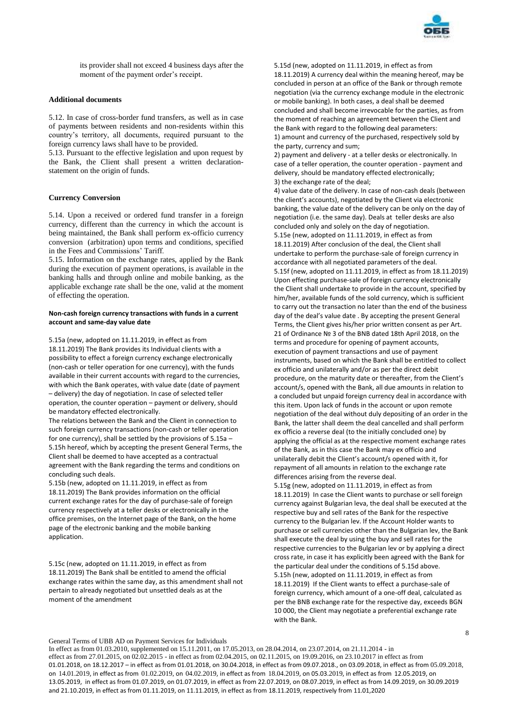

its provider shall not exceed 4 business days after the moment of the payment order's receipt.

## **Additional documents**

5.12. In case of cross-border fund transfers, as well as in case of payments between residents and non-residents within this country's territory, all documents, required pursuant to the foreign currency laws shall have to be provided.

5.13. Pursuant to the effective legislation and upon request by the Bank, the Client shall present a written declarationstatement on the origin of funds.

## **Currency Conversion**

5.14. Upon a received or ordered fund transfer in a foreign currency, different than the currency in which the account is being maintained, the Bank shall perform ex-officio currency conversion (arbitration) upon terms and conditions, specified in the Fees and Commissions' Tariff.

5.15. Information on the exchange rates, applied by the Bank during the execution of payment operations, is available in the banking halls and through online and mobile banking, as the applicable exchange rate shall be the one, valid at the moment of effecting the operation.

### **Non-cash foreign currency transactions with funds in a current account and same-day value date**

5.15a (new, adopted on 11.11.2019, in effect as from 18.11.2019) The Bank provides its Individual clients with a possibility to effect a foreign currency exchange electronically (non-cash or teller operation for one currency), with the funds available in their current accounts with regard to the currencies, with which the Bank operates, with value date (date of payment – delivery) the day of negotiation. In case of selected teller operation, the counter operation – payment or delivery, should be mandatory effected electronically.

The relations between the Bank and the Client in connection to such foreign currency transactions (non-cash or teller operation for one currency), shall be settled by the provisions of 5.15a – 5.15h hereof, which by accepting the present General Terms, the Client shall be deemed to have accepted as a contractual agreement with the Bank regarding the terms and conditions on concluding such deals.

5.15b (new, adopted on 11.11.2019, in effect as from 18.11.2019) The Bank provides information on the official current exchange rates for the day of purchase-sale of foreign currency respectively at a teller desks or electronically in the office premises, on the Internet page of the Bank, on the home page of the electronic banking and the mobile banking application.

5.15c (new, adopted on 11.11.2019, in effect as from 18.11.2019) The Bank shall be entitled to amend the official exchange rates within the same day, as this amendment shall not pertain to already negotiated but unsettled deals as at the moment of the amendment

5.15d (new, adopted on 11.11.2019, in effect as from 18.11.2019) A currency deal within the meaning hereof, may be concluded in person at an office of the Bank or through remote negotiation (via the currency exchange module in the electronic or mobile banking). In both cases, a deal shall be deemed concluded and shall become irrevocable for the parties, as from the moment of reaching an agreement between the Client and the Bank with regard to the following deal parameters: 1) amount and currency of the purchased, respectively sold by the party, currency and sum;

2) payment and delivery - at a teller desks or electronically. In case of a teller operation, the counter operation - payment and delivery, should be mandatory effected electronically; 3) the exchange rate of the deal;

4) value date of the delivery. In case of non-cash deals (between the client's accounts), negotiated by the Client via electronic banking, the value date of the delivery can be only on the day of negotiation (i.e. the same day). Deals at teller desks are also concluded only and solely on the day of negotiation. 5.15e (new, adopted on 11.11.2019, in effect as from 18.11.2019) After conclusion of the deal, the Client shall undertake to perform the purchase-sale of foreign currency in accordance with all negotiated parameters of the deal. 5.15f (new, adopted on 11.11.2019, in effect as from 18.11.2019) Upon effecting purchase-sale of foreign currency electronically the Client shall undertake to provide in the account, specified by him/her, available funds of the sold currency, which is sufficient to carry out the transaction no later than the end of the business day of the deal's value date . By accepting the present General Terms, the Client gives his/her prior written consent as per Art. 21 of Ordinance № 3 of the BNB dated 18th April 2018, on the terms and procedure for opening of payment accounts, execution of payment transactions and use of payment instruments, based on which the Bank shall be entitled to collect ex officio and unilaterally and/or as per the direct debit procedure, on the maturity date or thereafter, from the Client's account/s, opened with the Bank, all due amounts in relation to a concluded but unpaid foreign currency deal in accordance with this item. Upon lack of funds in the account or upon remote negotiation of the deal without duly depositing of an order in the Bank, the latter shall deem the deal cancelled and shall perform ex officio a reverse deal (to the initially concluded one) by applying the official as at the respective moment exchange rates of the Bank, as in this case the Bank may ex officio and unilaterally debit the Client's account/s opened with it, for repayment of all amounts in relation to the exchange rate differences arising from the reverse deal.

5.15g (new, adopted on 11.11.2019, in effect as from 18.11.2019) In case the Client wants to purchase or sell foreign currency against Bulgarian leva, the deal shall be executed at the respective buy and sell rates of the Bank for the respective currency to the Bulgarian lev. If the Account Holder wants to purchase or sell currencies other than the Bulgarian lev, the Bank shall execute the deal by using the buy and sell rates for the respective currencies to the Bulgarian lev or by applying a direct cross rate, in case it has explicitly been agreed with the Bank for the particular deal under the conditions of 5.15d above. 5.15h (new, adopted on 11.11.2019, in effect as from 18.11.2019) If the Client wants to effect a purchase-sale of foreign currency, which amount of a one-off deal, calculated as per the BNB exchange rate for the respective day, exceeds BGN 10 000, the Client may negotiate a preferential exchange rate with the Bank.

General Terms of UBB AD on Payment Services for Individuals

In effect as from 01.03.2010, supplemented on 15.11.2011, on 17.05.2013, on 28.04.2014, on 23.07.2014, on 21.11.2014 - in effect as from 27.01.2015, on 02.02.2015 - in effect as from 02.04.2015, on 02.11.2015, on 19.09.2016, on 23.10.2017 in effect as from 01.01.2018, on 18.12.2017 – in effect as from 01.01.2018, on 30.04.2018, in effect as from 09.07.2018., on 03.09.2018, in effect as from 05.09.2018, on 14.01.2019, in effect as from 01.02.2019, on 04.02.2019, in effect as from 18.04.2019, on 05.03.2019, in effect as from 12.05.2019, on 13.05.2019, in effect as from 01.07.2019, on 01.07.2019, in effect as from 22.07.2019, on 08.07.2019, in effect as from 14.09.2019, on 30.09.2019 and 21.10.2019, in effect as from 01.11.2019, on 11.11.2019, in effect as from 18.11.2019, respectively from 11.01,2020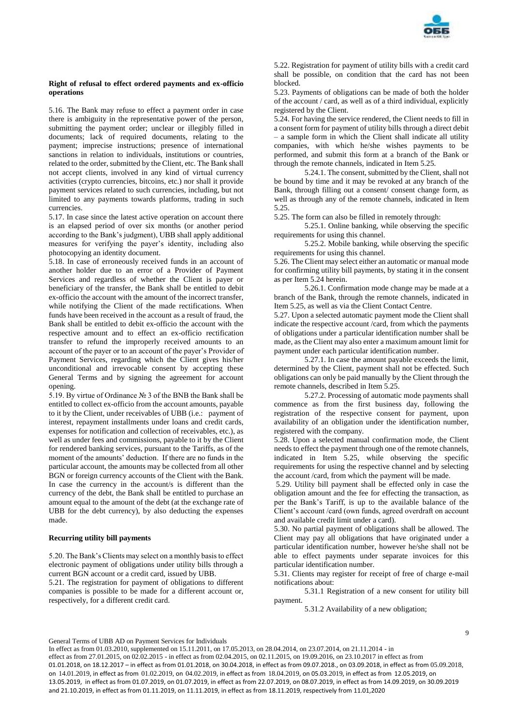

## **Right of refusal to effect ordered payments and ex-officio operations**

5.16. The Bank may refuse to effect a payment order in case there is ambiguity in the representative power of the person, submitting the payment order; unclear or illegibly filled in documents; lack of required documents, relating to the payment; imprecise instructions; presence of international sanctions in relation to individuals, institutions or countries, related to the order, submitted by the Client, etc. The Bank shall not accept clients, involved in any kind of virtual currency activities (crypto currencies, bitcoins, etc.) nor shall it provide payment services related to such currencies, including, but not limited to any payments towards platforms, trading in such currencies.

5.17. In case since the latest active operation on account there is an elapsed period of over six months (or another period according to the Bank's judgment), UBB shall apply additional measures for verifying the payer's identity, including also photocopying an identity document.

5.18. In case of erroneously received funds in an account of another holder due to an error of a Provider of Payment Services and regardless of whether the Client is payer or beneficiary of the transfer, the Bank shall be entitled to debit ex-officio the account with the amount of the incorrect transfer, while notifying the Client of the made rectifications. When funds have been received in the account as a result of fraud, the Bank shall be entitled to debit ex-officio the account with the respective amount and to effect an ex-officio rectification transfer to refund the improperly received amounts to an account of the payer or to an account of the payer's Provider of Payment Services, regarding which the Client gives his/her unconditional and irrevocable consent by accepting these General Terms and by signing the agreement for account opening.

5.19. By virtue of Ordinance № 3 of the BNB the Bank shall be entitled to collect ex-officio from the account amounts, payable to it by the Client, under receivables of UBB (i.e.: payment of interest, repayment installments under loans and credit cards, expenses for notification and collection of receivables, etc.), as well as under fees and commissions, payable to it by the Client for rendered banking services, pursuant to the Tariffs, as of the moment of the amounts' deduction. If there are no funds in the particular account, the amounts may be collected from all other BGN or foreign currency accounts of the Client with the Bank. In case the currency in the account/s is different than the currency of the debt, the Bank shall be entitled to purchase an amount equal to the amount of the debt (at the exchange rate of UBB for the debt currency), by also deducting the expenses made.

#### **Recurring utility bill payments**

5.20. The Bank's Clients may select on a monthly basis to effect electronic payment of obligations under utility bills through a current BGN account or a credit card, issued by UBB.

5.21. The registration for payment of obligations to different companies is possible to be made for a different account or, respectively, for a different credit card.

5.22. Registration for payment of utility bills with a credit card shall be possible, on condition that the card has not been blocked.

5.23. Payments of obligations can be made of both the holder of the account / card, as well as of a third individual, explicitly registered by the Client.

5.24. For having the service rendered, the Client needs to fill in a consent form for payment of utility bills through a direct debit – a sample form in which the Client shall indicate all utility companies, with which he/she wishes payments to be performed, and submit this form at a branch of the Bank or through the remote channels, indicated in Item 5.25.

5.24.1. The consent, submitted by the Client, shall not be bound by time and it may be revoked at any branch of the Bank, through filling out a consent/ consent change form, as well as through any of the remote channels, indicated in Item 5.25

5.25. The form can also be filled in remotely through:

5.25.1. Online banking, while observing the specific requirements for using this channel.

5.25.2. Mobile banking, while observing the specific requirements for using this channel.

5.26. The Client may select either an automatic or manual mode for confirming utility bill payments, by stating it in the consent as per Item 5.24 herein.

5.26.1. Confirmation mode change may be made at a branch of the Bank, through the remote channels, indicated in Item 5.25, as well as via the Client Contact Centre.

5.27. Upon a selected automatic payment mode the Client shall indicate the respective account /card, from which the payments of obligations under a particular identification number shall be made, as the Client may also enter a maximum amount limit for payment under each particular identification number.

5.27.1. In case the amount payable exceeds the limit, determined by the Client, payment shall not be effected. Such obligations can only be paid manually by the Client through the remote channels, described in Item 5.25.

5.27.2. Processing of automatic mode payments shall commence as from the first business day, following the registration of the respective consent for payment, upon availability of an obligation under the identification number, registered with the company.

5.28. Upon a selected manual confirmation mode, the Client needs to effect the payment through one of the remote channels, indicated in Item 5.25, while observing the specific requirements for using the respective channel and by selecting the account /card, from which the payment will be made.

5.29. Utility bill payment shall be effected only in case the obligation amount and the fee for effecting the transaction, as per the Bank's Tariff, is up to the available balance of the Client's account /card (own funds, agreed overdraft on account and available credit limit under a card).

5.30. No partial payment of obligations shall be allowed. The Client may pay all obligations that have originated under a particular identification number, however he/she shall not be able to effect payments under separate invoices for this particular identification number.

5.31. Clients may register for receipt of free of charge e-mail notifications about:

5.31.1 Registration of a new consent for utility bill payment.

5.31.2 Availability of a new obligation;

General Terms of UBB AD on Payment Services for Individuals

In effect as from 01.03.2010, supplemented on 15.11.2011, on 17.05.2013, on 28.04.2014, on 23.07.2014, on 21.11.2014 - in effect as from 27.01.2015, on 02.02.2015 - in effect as from 02.04.2015, on 02.11.2015, on 19.09.2016, on 23.10.2017 in effect as from 01.01.2018, on 18.12.2017 – in effect as from 01.01.2018, on 30.04.2018, in effect as from 09.07.2018., on 03.09.2018, in effect as from 05.09.2018, on 14.01.2019, in effect as from 01.02.2019, on 04.02.2019, in effect as from 18.04.2019, on 05.03.2019, in effect as from 12.05.2019, on 13.05.2019, in effect as from 01.07.2019, on 01.07.2019, in effect as from 22.07.2019, on 08.07.2019, in effect as from 14.09.2019, on 30.09.2019 and 21.10.2019, in effect as from 01.11.2019, on 11.11.2019, in effect as from 18.11.2019, respectively from 11.01,2020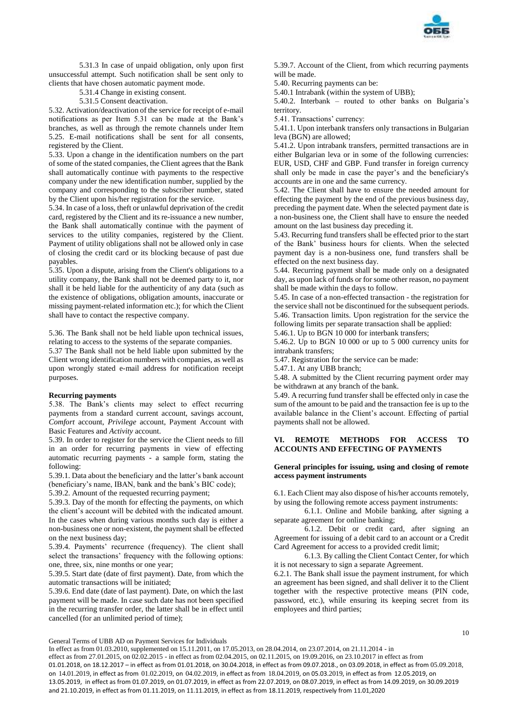

5.31.3 In case of unpaid obligation, only upon first unsuccessful attempt. Such notification shall be sent only to clients that have chosen automatic payment mode.

5.31.4 Change in existing consent.

5.31.5 Consent deactivation.

5.32. Activation/deactivation of the service for receipt of e-mail notifications as per Item 5.31 can be made at the Bank's branches, as well as through the remote channels under Item 5.25. E-mail notifications shall be sent for all consents, registered by the Client.

5.33. Upon a change in the identification numbers on the part of some of the stated companies, the Client agrees that the Bank shall automatically continue with payments to the respective company under the new identification number, supplied by the company and corresponding to the subscriber number, stated by the Client upon his/her registration for the service.

5.34. In case of a loss, theft or unlawful deprivation of the credit card, registered by the Client and its re-issuance a new number, the Bank shall automatically continue with the payment of services to the utility companies, registered by the Client. Payment of utility obligations shall not be allowed only in case of closing the credit card or its blocking because of past due payables.

5.35. Upon a dispute, arising from the Client's obligations to a utility company, the Bank shall not be deemed party to it, nor shall it be held liable for the authenticity of any data (such as the existence of obligations, obligation amounts, inaccurate or missing payment-related information etc.); for which the Client shall have to contact the respective company.

5.36. The Bank shall not be held liable upon technical issues, relating to access to the systems of the separate companies.

5.37 The Bank shall not be held liable upon submitted by the Client wrong identification numbers with companies, as well as upon wrongly stated e-mail address for notification receipt purposes.

### **Recurring payments**

5.38. The Bank's clients may select to effect recurring payments from a standard current account, savings account, *Comfort* account, *Privilege* account, Payment Account with Basic Features and *Activity* account.

5.39. In order to register for the service the Client needs to fill in an order for recurring payments in view of effecting automatic recurring payments - a sample form, stating the following:

5.39.1. Data about the beneficiary and the latter's bank account (beneficiary's name, IBAN, bank and the bank's BIC code); 5.39.2. Amount of the requested recurring payment;

5.39.3. Day of the month for effecting the payments, on which the client's account will be debited with the indicated amount. In the cases when during various months such day is either a non-business one or non-existent, the payment shall be effected on the next business day;

5.39.4. Payments' recurrence (frequency). The client shall select the transactions' frequency with the following options: one, three, six, nine months or one year;

5.39.5. Start date (date of first payment). Date, from which the automatic transactions will be initiated;

5.39.6. End date (date of last payment). Date, on which the last payment will be made. In case such date has not been specified in the recurring transfer order, the latter shall be in effect until cancelled (for an unlimited period of time);

5.39.7. Account of the Client, from which recurring payments will be made.

5.40. Recurring payments can be:

5.40.1 Intrabank (within the system of UBB);

5.40.2. Interbank – routed to other banks on Bulgaria's territory.

5.41. Transactions' currency:

5.41.1. Upon interbank transfers only transactions in Bulgarian leva (BGN) are allowed;

5.41.2. Upon intrabank transfers, permitted transactions are in either Bulgarian leva or in some of the following currencies: EUR, USD, CHF and GBP. Fund transfer in foreign currency shall only be made in case the payer's and the beneficiary's accounts are in one and the same currency.

5.42. The Client shall have to ensure the needed amount for effecting the payment by the end of the previous business day, preceding the payment date. When the selected payment date is a non-business one, the Client shall have to ensure the needed amount on the last business day preceding it.

5.43. Recurring fund transfers shall be effected prior to the start of the Bank' business hours for clients. When the selected payment day is a non-business one, fund transfers shall be effected on the next business day.

5.44. Recurring payment shall be made only on a designated day, as upon lack of funds or for some other reason, no payment shall be made within the days to follow.

5.45. In case of a non-effected transaction - the registration for the service shall not be discontinued for the subsequent periods. 5.46. Transaction limits. Upon registration for the service the following limits per separate transaction shall be applied:

5.46.1. Up to BGN 10 000 for interbank transfers;

5.46.2. Up to BGN 10 000 or up to 5 000 currency units for intrabank transfers;

5.47. Registration for the service can be made:

5.47.1. At any UBB branch;

5.48. A submitted by the Client recurring payment order may be withdrawn at any branch of the bank.

5.49. A recurring fund transfer shall be effected only in case the sum of the amount to be paid and the transaction fee is up to the available balance in the Client's account. Effecting of partial payments shall not be allowed.

## **VI. REMOTE METHODS FOR ACCESS TO ACCOUNTS AND EFFECTING OF PAYMENTS**

## **General principles for issuing, using and closing of remote access payment instruments**

6.1. Each Client may also dispose of his/her accounts remotely, by using the following remote access payment instruments:

6.1.1. Online and Mobile banking, after signing a separate agreement for online banking;

6.1.2. Debit or credit card, after signing an Agreement for issuing of a debit card to an account or a Credit Card Agreement for access to a provided credit limit;

6.1.3. By calling the Client Contact Center, for which it is not necessary to sign a separate Agreement.

6.2.1. The Bank shall issue the payment instrument, for which an agreement has been signed, and shall deliver it to the Client together with the respective protective means (PIN code, password, etc.), while ensuring its keeping secret from its employees and third parties;

General Terms of UBB AD on Payment Services for Individuals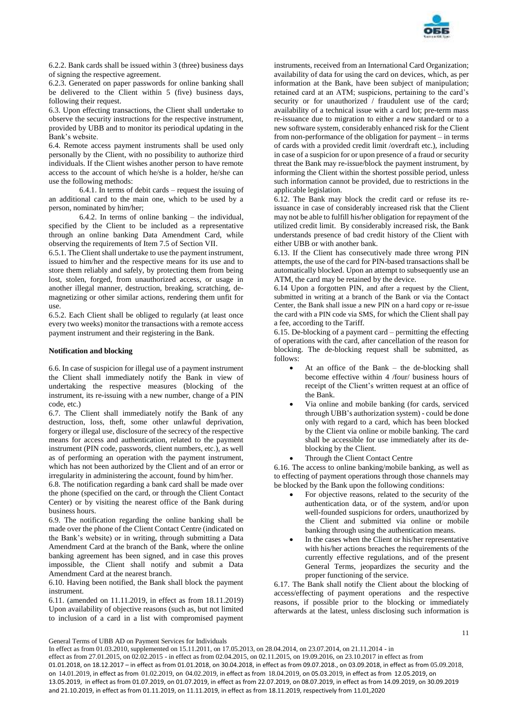

6.2.2. Bank cards shall be issued within 3 (three) business days of signing the respective agreement.

6.2.3. Generated on paper passwords for online banking shall be delivered to the Client within 5 (five) business days, following their request.

6.3. Upon effecting transactions, the Client shall undertake to observe the security instructions for the respective instrument, provided by UBB and to monitor its periodical updating in the Bank's website.

6.4. Remote access payment instruments shall be used only personally by the Client, with no possibility to authorize third individuals. If the Client wishes another person to have remote access to the account of which he/she is a holder, he/she can use the following methods:

6.4.1. In terms of debit cards – request the issuing of an additional card to the main one, which to be used by a person, nominated by him/her;

6.4.2. In terms of online banking – the individual, specified by the Client to be included as a representative through an online banking Data Amendment Card, while observing the requirements of Item 7.5 of Section VII.

6.5.1. The Client shall undertake to use the payment instrument, issued to him/her and the respective means for its use and to store them reliably and safely, by protecting them from being lost, stolen, forged, from unauthorized access, or usage in another illegal manner, destruction, breaking, scratching, demagnetizing or other similar actions, rendering them unfit for use.

6.5.2. Each Client shall be obliged to regularly (at least once every two weeks) monitor the transactions with a remote access payment instrument and their registering in the Bank.

### **Notification and blocking**

6.6. In case of suspicion for illegal use of a payment instrument the Client shall immediately notify the Bank in view of undertaking the respective measures (blocking of the instrument, its re-issuing with a new number, change of a PIN code, etc.)

6.7. The Client shall immediately notify the Bank of any destruction, loss, theft, some other unlawful deprivation, forgery or illegal use, disclosure of the secrecy of the respective means for access and authentication, related to the payment instrument (PIN code, passwords, client numbers, etc.), as well as of performing an operation with the payment instrument, which has not been authorized by the Client and of an error or irregularity in administering the account, found by him/her.

6.8. The notification regarding a bank card shall be made over the phone (specified on the card, or through the Client Contact Center) or by visiting the nearest office of the Bank during business hours.

6.9. The notification regarding the online banking shall be made over the phone of the Client Contact Centre (indicated on the Bank's website) or in writing, through submitting a Data Amendment Card at the branch of the Bank, where the online banking agreement has been signed, and in case this proves impossible, the Client shall notify and submit a Data Amendment Card at the nearest branch.

6.10. Having been notified, the Bank shall block the payment instrument.

6.11. (amended on 11.11.2019, in effect as from 18.11.2019) Upon availability of objective reasons (such as, but not limited to inclusion of a card in a list with compromised payment

instruments, received from an International Card Organization; availability of data for using the card on devices, which, as per information at the Bank, have been subject of manipulation; retained card at an ATM; suspicions, pertaining to the card's security or for unauthorized / fraudulent use of the card; availability of a technical issue with a card lot; pre-term mass re-issuance due to migration to either a new standard or to a new software system, considerably enhanced risk for the Client from non-performance of the obligation for payment – in terms of cards with a provided credit limit /overdraft etc.), including in case of a suspicion for or upon presence of a fraud or security threat the Bank may re-issue/block the payment instrument, by informing the Client within the shortest possible period, unless such information cannot be provided, due to restrictions in the applicable legislation.

6.12. The Bank may block the credit card or refuse its reissuance in case of considerably increased risk that the Client may not be able to fulfill his/her obligation for repayment of the utilized credit limit. By considerably increased risk, the Bank understands presence of bad credit history of the Client with either UBB or with another bank.

6.13. If the Client has consecutively made three wrong PIN attempts, the use of the card for PIN-based transactions shall be automatically blocked. Upon an attempt to subsequently use an ATM, the card may be retained by the device.

6.14 Upon a forgotten PIN, and after a request by the Client, submitted in writing at a branch of the Bank or via the Contact Center, the Bank shall issue a new PIN on a hard copy or re-issue the card with a PIN code via SMS, for which the Client shall pay a fee, according to the Tariff.

6.15. De-blocking of a payment card – permitting the effecting of operations with the card, after cancellation of the reason for blocking. The de-blocking request shall be submitted, as follows:

- $\bullet$  At an office of the Bank the de-blocking shall become effective within 4 /four/ business hours of receipt of the Client's written request at an office of the Bank.
- Via online and mobile banking (for cards, serviced through UBB's authorization system) - could be done only with regard to a card, which has been blocked by the Client via online or mobile banking. The card shall be accessible for use immediately after its deblocking by the Client.
- Through the Client Contact Centre

6.16. The access to online banking/mobile banking, as well as to effecting of payment operations through those channels may be blocked by the Bank upon the following conditions:

- For objective reasons, related to the security of the authentication data, or of the system, and/or upon well-founded suspicions for orders, unauthorized by the Client and submitted via online or mobile banking through using the authentication means.
- In the cases when the Client or his/her representative with his/her actions breaches the requirements of the currently effective regulations, and of the present General Terms, jeopardizes the security and the proper functioning of the service.

6.17. The Bank shall notify the Client about the blocking of access/effecting of payment operations and the respective reasons, if possible prior to the blocking or immediately afterwards at the latest, unless disclosing such information is

General Terms of UBB AD on Payment Services for Individuals

In effect as from 01.03.2010, supplemented on 15.11.2011, on 17.05.2013, on 28.04.2014, on 23.07.2014, on 21.11.2014 - in effect as from 27.01.2015, on 02.02.2015 - in effect as from 02.04.2015, on 02.11.2015, on 19.09.2016, on 23.10.2017 in effect as from 01.01.2018, on 18.12.2017 – in effect as from 01.01.2018, on 30.04.2018, in effect as from 09.07.2018., on 03.09.2018, in effect as from 05.09.2018, on 14.01.2019, in effect as from 01.02.2019, on 04.02.2019, in effect as from 18.04.2019, on 05.03.2019, in effect as from 12.05.2019, on 13.05.2019, in effect as from 01.07.2019, on 01.07.2019, in effect as from 22.07.2019, on 08.07.2019, in effect as from 14.09.2019, on 30.09.2019 and 21.10.2019, in effect as from 01.11.2019, on 11.11.2019, in effect as from 18.11.2019, respectively from 11.01,2020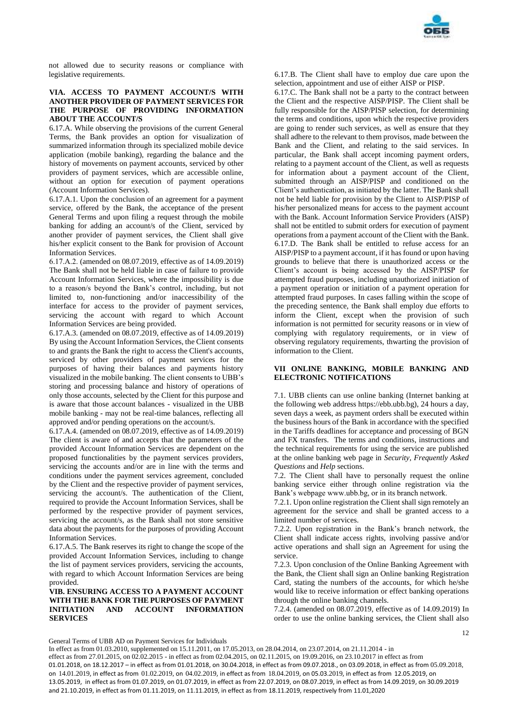

not allowed due to security reasons or compliance with legislative requirements.

## **VIA. ACCESS TO PAYMENT ACCOUNT/S WITH ANOTHER PROVIDER OF PAYMENT SERVICES FOR THE PURPOSE OF PROVIDING INFORMATION ABOUT THE ACCOUNT/S**

6.17.A. While observing the provisions of the current General Terms, the Bank provides an option for visualization of summarized information through its specialized mobile device application (mobile banking), regarding the balance and the history of movements on payment accounts, serviced by other providers of payment services, which are accessible online, without an option for execution of payment operations (Account Information Services).

6.17.A.1. Upon the conclusion of an agreement for a payment service, offered by the Bank, the acceptance of the present General Terms and upon filing a request through the mobile banking for adding an account/s of the Client, serviced by another provider of payment services, the Client shall give his/her explicit consent to the Bank for provision of Account Information Services.

6.17.А.2. (amended on 08.07.2019, effective as of 14.09.2019) The Bank shall not be held liable in case of failure to provide Account Information Services, where the impossibility is due to a reason/s beyond the Bank's control, including, but not limited to, non-functioning and/or inaccessibility of the interface for access to the provider of payment services, servicing the account with regard to which Account Information Services are being provided.

6.17.A.3. (amended on 08.07.2019, effective as of 14.09.2019) By using the Account Information Services, the Client consents to and grants the Bank the right to access the Client's accounts, serviced by other providers of payment services for the purposes of having their balances and payments history visualized in the mobile banking. The client consents to UBB's storing and processing balance and history of operations of only those accounts, selected by the Client for this purpose and is aware that those account balances - visualized in the UBB mobile banking - may not be real-time balances, reflecting all approved and/or pending operations on the account/s.

6.17.A.4. (amended on 08.07.2019, effective as of 14.09.2019) The client is aware of and accepts that the parameters of the provided Account Information Services are dependent on the proposed functionalities by the payment services providers, servicing the accounts and/or are in line with the terms and conditions under the payment services agreement, concluded by the Client and the respective provider of payment services, servicing the account/s. The authentication of the Client, required to provide the Account Information Services, shall be performed by the respective provider of payment services, servicing the account/s, as the Bank shall not store sensitive data about the payments for the purposes of providing Account Information Services.

6.17.A.5. The Bank reserves its right to change the scope of the provided Account Information Services, including to change the list of payment services providers, servicing the accounts, with regard to which Account Information Services are being provided.

## **VIB. ENSURING ACCESS TO A PAYMENT ACCOUNT WITH THE BANK FOR THE PURPOSES OF PAYMENT INITIATION AND ACCOUNT INFORMATION SERVICES**

6.17.B. The Client shall have to employ due care upon the selection, appointment and use of either AISP or PISP.

6.17.C. The Bank shall not be a party to the contract between the Client and the respective AISP/PISP. The Client shall be fully responsible for the AISP/PISP selection, for determining the terms and conditions, upon which the respective providers are going to render such services, as well as ensure that they shall adhere to the relevant to them provisos, made between the Bank and the Client, and relating to the said services. In particular, the Bank shall accept incoming payment orders, relating to a payment account of the Client, as well as requests for information about a payment account of the Client, submitted through an AISP/PISP and conditioned on the Client's authentication, as initiated by the latter. The Bank shall not be held liable for provision by the Client to AISP/PISP of his/her personalized means for access to the payment account with the Bank. Account Information Service Providers (AISP) shall not be entitled to submit orders for execution of payment operations from a payment account of the Client with the Bank. 6.17.D. The Bank shall be entitled to refuse access for an AISP/PISP to a payment account, if it has found or upon having grounds to believe that there is unauthorized access or the Client's account is being accessed by the AISP/PISP for attempted fraud purposes, including unauthorized initiation of a payment operation or initiation of a payment operation for attempted fraud purposes. In cases falling within the scope of the preceding sentence, the Bank shall employ due efforts to inform the Client, except when the provision of such information is not permitted for security reasons or in view of complying with regulatory requirements, or in view of observing regulatory requirements, thwarting the provision of information to the Client.

## **VII ONLINE BANKING, MOBILE BANKING AND ELECTRONIC NOTIFICATIONS**

7.1. UBB clients can use online banking (Internet banking at the following web address https://ebb.ubb.bg), 24 hours a day, seven days a week, as payment orders shall be executed within the business hours of the Bank in accordance with the specified in the Tariffs deadlines for acceptance and processing of BGN and FX transfers. The terms and conditions, instructions and the technical requirements for using the service are published at the online banking web page in *Security*, *Frequently Asked Questions* and *Help* sections.

7.2. The Client shall have to personally request the online banking service either through online registration via the Bank's webpage www.ubb.bg, or in its branch network.

7.2.1. Upon online registration the Client shall sign remotely an agreement for the service and shall be granted access to a limited number of services.

7.2.2. Upon registration in the Bank's branch network, the Client shall indicate access rights, involving passive and/or active operations and shall sign an Agreement for using the service.

7.2.3. Upon conclusion of the Online Banking Agreement with the Bank, the Client shall sign an Online banking Registration Card, stating the numbers of the accounts, for which he/she would like to receive information or effect banking operations through the online banking channels.

7.2.4. (amended on 08.07.2019, effective as of 14.09.2019) In order to use the online banking services, the Client shall also

12

General Terms of UBB AD on Payment Services for Individuals

In effect as from 01.03.2010, supplemented on 15.11.2011, on 17.05.2013, on 28.04.2014, on 23.07.2014, on 21.11.2014 - in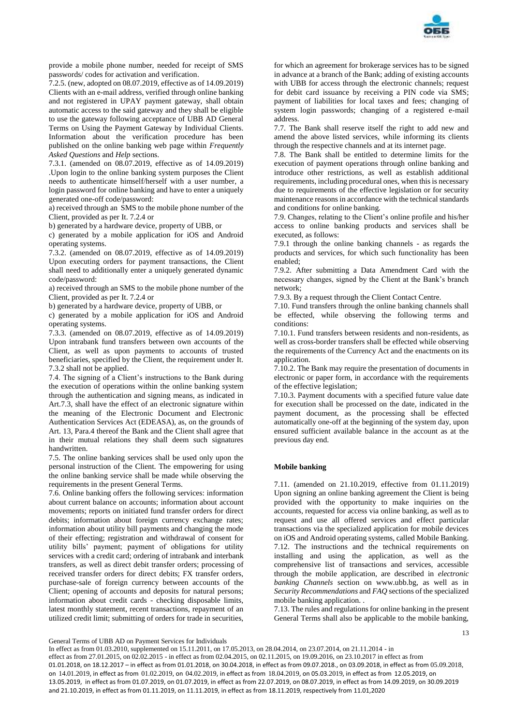

provide a mobile phone number, needed for receipt of SMS passwords/ codes for activation and verification.

7.2.5. (new, adopted on 08.07.2019, effective as of 14.09.2019) Clients with an e-mail address, verified through online banking and not registered in UPAY payment gateway, shall obtain automatic access to the said gateway and they shall be eligible to use the gateway following acceptance of UBB AD General Terms on Using the Payment Gateway by Individual Clients. Information about the verification procedure has been published on the online banking web page within *Frequently Asked Questions* and *Help* sections.

7.3.1. (amended on 08.07.2019, effective as of 14.09.2019) .Upon login to the online banking system purposes the Client needs to authenticate himself/herself with a user number, a login password for online banking and have to enter a uniquely generated one-off code/password:

a) received through an SMS to the mobile phone number of the Client, provided as per It. 7.2.4 or

b) generated by a hardware device, property of UBB, or

c) generated by a mobile application for iOS and Android operating systems.

7.3.2. (amended on 08.07.2019, effective as of 14.09.2019) Upon executing orders for payment transactions, the Client shall need to additionally enter a uniquely generated dynamic code/password:

a) received through an SMS to the mobile phone number of the Client, provided as per It. 7.2.4 or

b) generated by a hardware device, property of UBB, or

c) generated by a mobile application for iOS and Android operating systems.

7.3.3. (amended on 08.07.2019, effective as of 14.09.2019) Upon intrabank fund transfers between own accounts of the Client, as well as upon payments to accounts of trusted beneficiaries, specified by the Client, the requirement under It. 7.3.2 shall not be applied.

7.4. The signing of a Client's instructions to the Bank during the execution of operations within the online banking system through the authentication and signing means, as indicated in Art.7.3, shall have the effect of an electronic signature within the meaning of the Electronic Document and Electronic Authentication Services Act (EDEASA), as, on the grounds of Art. 13, Para.4 thereof the Bank and the Client shall agree that in their mutual relations they shall deem such signatures handwritten.

7.5. The online banking services shall be used only upon the personal instruction of the Client. The empowering for using the online banking service shall be made while observing the requirements in the present General Terms.

7.6. Online banking offers the following services: information about current balance on accounts; information about account movements; reports on initiated fund transfer orders for direct debits; information about foreign currency exchange rates; information about utility bill payments and changing the mode of their effecting; registration and withdrawal of consent for utility bills' payment; payment of obligations for utility services with a credit card; ordering of intrabank and interbank transfers, as well as direct debit transfer orders; processing of received transfer orders for direct debits; FX transfer orders, purchase-sale of foreign currency between accounts of the Client; opening of accounts and deposits for natural persons; information about credit cards - checking disposable limits, latest monthly statement, recent transactions, repayment of an utilized credit limit; submitting of orders for trade in securities,

for which an agreement for brokerage services has to be signed in advance at a branch of the Bank; adding of existing accounts with UBB for access through the electronic channels; request for debit card issuance by receiving a PIN code via SMS; payment of liabilities for local taxes and fees; changing of system login passwords; changing of a registered e-mail address.

7.7. The Bank shall reserve itself the right to add new and amend the above listed services, while informing its clients through the respective channels and at its internet page.

7.8. The Bank shall be entitled to determine limits for the execution of payment operations through online banking and introduce other restrictions, as well as establish additional requirements, including procedural ones, when this is necessary due to requirements of the effective legislation or for security maintenance reasons in accordance with the technical standards and conditions for online banking.

7.9. Changes, relating to the Client's online profile and his/her access to online banking products and services shall be executed, as follows:

7.9.1 through the online banking channels - as regards the products and services, for which such functionality has been enabled;

7.9.2. After submitting a Data Amendment Card with the necessary changes, signed by the Client at the Bank's branch network;

7.9.3. By a request through the Client Contact Centre.

7.10. Fund transfers through the online banking channels shall be effected, while observing the following terms and conditions:

7.10.1. Fund transfers between residents and non-residents, as well as cross-border transfers shall be effected while observing the requirements of the Currency Act and the enactments on its application.

7.10.2. The Bank may require the presentation of documents in electronic or paper form, in accordance with the requirements of the effective legislation;

7.10.3. Payment documents with a specified future value date for execution shall be processed on the date, indicated in the payment document, as the processing shall be effected automatically one-off at the beginning of the system day, upon ensured sufficient available balance in the account as at the previous day end.

## **Mobile banking**

7.11. (amended on 21.10.2019, effective from 01.11.2019) Upon signing an online banking agreement the Client is being provided with the opportunity to make inquiries on the accounts, requested for access via online banking, as well as to request and use all offered services and effect particular transactions via the specialized application for mobile devices on iOS and Android operating systems, called Mobile Banking. 7.12. The instructions and the technical requirements on installing and using the application, as well as the comprehensive list of transactions and services, accessible through the mobile application, are described in *electronic banking Channels* section on www.ubb.bg, as well as in *Security Recommendations* and *FAQ* sections of the specialized mobile banking application. .

7.13. The rules and regulations for online banking in the present General Terms shall also be applicable to the mobile banking,

General Terms of UBB AD on Payment Services for Individuals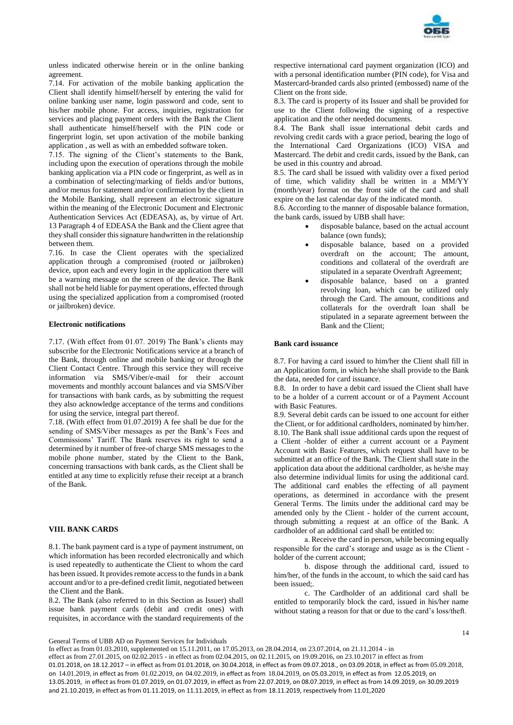

unless indicated otherwise herein or in the online banking agreement.

7.14. For activation of the mobile banking application the Client shall identify himself/herself by entering the valid for online banking user name, login password and code, sent to his/her mobile phone. For access, inquiries, registration for services and placing payment orders with the Bank the Client shall authenticate himself/herself with the PIN code or fingerprint login, set upon activation of the mobile banking application , as well as with an embedded software token.

7.15. The signing of the Client's statements to the Bank, including upon the execution of operations through the mobile banking application via a PIN code or fingerprint, as well as in a combination of selecting/marking of fields and/or buttons, and/or menus for statement and/or confirmation by the client in the Mobile Banking, shall represent an electronic signature within the meaning of the Electronic Document and Electronic Authentication Services Act (EDEASA), as, by virtue of Art. 13 Paragraph 4 of EDEASA the Bank and the Client agree that they shall consider this signature handwritten in the relationship between them.

7.16. In case the Client operates with the specialized application through a compromised (rooted or jailbroken) device, upon each and every login in the application there will be a warning message on the screen of the device. The Bank shall not be held liable for payment operations, effected through using the specialized application from a compromised (rooted or jailbroken) device.

### **Electronic notifications**

7.17. (With effect from 01.07. 2019) The Bank's clients may subscribe for the Electronic Notifications service at a branch of the Bank, through online and mobile banking or through the Client Contact Centre. Through this service they will receive information via SMS/Viber/e-mail for their account movements and monthly account balances and via SMS/Viber for transactions with bank cards, as by submitting the request they also acknowledge acceptance of the terms and conditions for using the service, integral part thereof.

7.18. (With effect from 01.07.2019) A fee shall be due for the sending of SMS/Viber messages as per the Bank's Fees and Commissions' Tariff. The Bank reserves its right to send a determined by it number of free-of charge SMS messages to the mobile phone number, stated by the Client to the Bank, concerning transactions with bank cards, as the Client shall be entitled at any time to explicitly refuse their receipt at a branch of the Bank.

## **VIII. BANK CARDS**

8.1. The bank payment card is a type of payment instrument, on which information has been recorded electronically and which is used repeatedly to authenticate the Client to whom the card has been issued. It provides remote access to the funds in a bank account and/or to a pre-defined credit limit, negotiated between the Client and the Bank.

8.2. The Bank (also referred to in this Section as Issuer) shall issue bank payment cards (debit and credit ones) with requisites, in accordance with the standard requirements of the

respective international card payment organization (ICO) and with a personal identification number (PIN code), for Visa and Mastercard-branded cards also printed (embossed) name of the Client on the front side.

8.3. The card is property of its Issuer and shall be provided for use to the Client following the signing of a respective application and the other needed documents.

8.4. The Bank shall issue international debit cards and revolving credit cards with a grace period, bearing the logo of the International Card Organizations (ICO) VISA and Mastercard. The debit and credit cards, issued by the Bank, can be used in this country and abroad.

8.5. The card shall be issued with validity over a fixed period of time, which validity shall be written in a MM/YY (month/year) format on the front side of the card and shall expire on the last calendar day of the indicated month.

8.6. According to the manner of disposable balance formation, the bank cards, issued by UBB shall have:

- disposable balance, based on the actual account balance (own funds);
- disposable balance, based on a provided overdraft on the account; The amount, conditions and collateral of the overdraft are stipulated in a separate Overdraft Agreement;
- disposable balance, based on a granted revolving loan, which can be utilized only through the Card. The amount, conditions and collaterals for the overdraft loan shall be stipulated in a separate agreement between the Bank and the Client;

### **Bank card issuance**

8.7. For having a card issued to him/her the Client shall fill in an Application form, in which he/she shall provide to the Bank the data, needed for card issuance.

8.8. In order to have a debit card issued the Client shall have to be a holder of a current account or of a Payment Account with Basic Features.

8.9. Several debit cards can be issued to one account for either the Client, or for additional cardholders, nominated by him/her. 8.10. The Bank shall issue additional cards upon the request of a Client -holder of either a current account or a Payment Account with Basic Features, which request shall have to be submitted at an office of the Bank. The Client shall state in the application data about the additional cardholder, as he/she may also determine individual limits for using the additional card. The additional card enables the effecting of all payment operations, as determined in accordance with the present General Terms. The limits under the additional card may be amended only by the Client - holder of the current account, through submitting a request at an office of the Bank. A cardholder of an additional card shall be entitled to:

а. Receive the card in person, while becoming equally responsible for the card's storage and usage as is the Client holder of the current account;

b. dispose through the additional card, issued to him/her, of the funds in the account, to which the said card has been issued;.

c. The Cardholder of an additional card shall be entitled to temporarily block the card, issued in his/her name without stating a reason for that or due to the card's loss/theft.

General Terms of UBB AD on Payment Services for Individuals

In effect as from 01.03.2010, supplemented on 15.11.2011, on 17.05.2013, on 28.04.2014, on 23.07.2014, on 21.11.2014 - in effect as from 27.01.2015, on 02.02.2015 - in effect as from 02.04.2015, on 02.11.2015, on 19.09.2016, on 23.10.2017 in effect as from 01.01.2018, on 18.12.2017 – in effect as from 01.01.2018, on 30.04.2018, in effect as from 09.07.2018., on 03.09.2018, in effect as from 05.09.2018, on 14.01.2019, in effect as from 01.02.2019, on 04.02.2019, in effect as from 18.04.2019, on 05.03.2019, in effect as from 12.05.2019, on 13.05.2019, in effect as from 01.07.2019, on 01.07.2019, in effect as from 22.07.2019, on 08.07.2019, in effect as from 14.09.2019, on 30.09.2019 and 21.10.2019, in effect as from 01.11.2019, on 11.11.2019, in effect as from 18.11.2019, respectively from 11.01,2020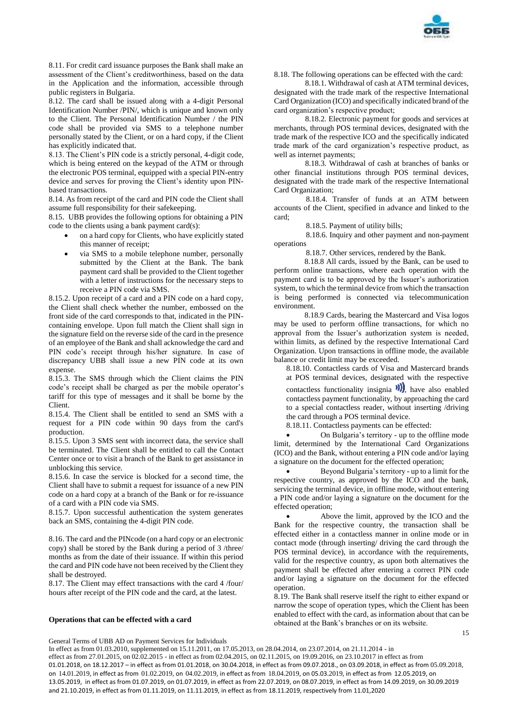

8.11. For credit card issuance purposes the Bank shall make an assessment of the Client's creditworthiness, based on the data in the Application and the information, accessible through public registers in Bulgaria.

8.12. The card shall be issued along with a 4-digit Personal Identification Number /PIN/, which is unique and known only to the Client. The Personal Identification Number / the PIN code shall be provided via SMS to a telephone number personally stated by the Client, or on a hard copy, if the Client has explicitly indicated that.

8.13. The Client's PIN code is a strictly personal, 4-digit code, which is being entered on the keypad of the ATM or through the electronic POS terminal, equipped with a special PIN-entry device and serves for proving the Client's identity upon PINbased transactions.

8.14. As from receipt of the card and PIN code the Client shall assume full responsibility for their safekeeping.

8.15. UBB provides the following options for obtaining a PIN code to the clients using a bank payment card(s):

- on a hard copy for Clients, who have explicitly stated this manner of receipt;
- via SMS to a mobile telephone number, personally submitted by the Client at the Bank. The bank payment card shall be provided to the Client together with a letter of instructions for the necessary steps to receive a PIN code via SMS.

8.15.2. Upon receipt of a card and a PIN code on a hard copy, the Client shall check whether the number, embossed on the front side of the card corresponds to that, indicated in the PINcontaining envelope. Upon full match the Client shall sign in the signature field on the reverse side of the card in the presence of an employee of the Bank and shall acknowledge the card and PIN code's receipt through his/her signature. In case of discrepancy UBB shall issue a new PIN code at its own expense.

8.15.3. The SMS through which the Client claims the PIN code's receipt shall be charged as per the mobile operator's tariff for this type of messages and it shall be borne by the Client.

8.15.4. The Client shall be entitled to send an SMS with a request for a PIN code within 90 days from the card's production.

8.15.5. Upon 3 SMS sent with incorrect data, the service shall be terminated. The Client shall be entitled to call the Contact Center once or to visit a branch of the Bank to get assistance in unblocking this service.

8.15.6. In case the service is blocked for a second time, the Client shall have to submit a request for issuance of a new PIN code on a hard copy at a branch of the Bank or for re-issuance of a card with a PIN code via SMS.

8.15.7. Upon successful authentication the system generates back an SMS, containing the 4-digit PIN code.

8.16. The card and the PINcode (on a hard copy or an electronic copy) shall be stored by the Bank during a period of 3 /three/ months as from the date of their issuance. If within this period the card and PIN code have not been received by the Client they shall be destroyed.

8.17. The Client may effect transactions with the card 4 /four/ hours after receipt of the PIN code and the card, at the latest.

#### **Operations that can be effected with a card**

8.18. The following operations can be effected with the card:

8.18.1. Withdrawal of cash at ATM terminal devices, designated with the trade mark of the respective International Card Organization (ICO) and specifically indicated brand of the card organization's respective product;

8.18.2. Electronic payment for goods and services at merchants, through POS terminal devices, designated with the trade mark of the respective ICO and the specifically indicated trade mark of the card organization's respective product, as well as internet payments;

8.18.3. Withdrawal of cash at branches of banks or other financial institutions through POS terminal devices, designated with the trade mark of the respective International Card Organization;

8.18.4. Transfer of funds at an ATM between accounts of the Client, specified in advance and linked to the card;

8.18.5. Payment of utility bills;

8.18.6. Inquiry and other payment and non-payment operations

8.18.7. Other services, rendered by the Bank.

8.18.8 All cards, issued by the Bank, can be used to perform online transactions, where each operation with the payment card is to be approved by the Issuer's authorization system, to which the terminal device from which the transaction is being performed is connected via telecommunication environment.

8.18.9 Cards, bearing the Mastercard and Visa logos may be used to perform offline transactions, for which no approval from the Issuer's authorization system is needed, within limits, as defined by the respective International Card Organization. Upon transactions in offline mode, the available balance or credit limit may be exceeded.

8.18.10. Contactless cards of Visa and Mastercard brands at POS terminal devices, designated with the respective

contactless functionality insignia  $\mathbf{v}$ , have also enabled contactless payment functionality, by approaching the card to a special contactless reader, without inserting /driving the card through a POS terminal device.

8.18.11. Contactless payments can be effected:

 On Bulgaria's territory - up to the offline mode limit, determined by the International Card Organizations (ICO) and the Bank, without entering a PIN code and/or laying a signature on the document for the effected operation;

 Beyond Bulgaria's territory - up to a limit for the respective country, as approved by the ICO and the bank, servicing the terminal device, in offline mode, without entering a PIN code and/or laying a signature on the document for the effected operation;

 Above the limit, approved by the ICO and the Bank for the respective country, the transaction shall be effected either in a contactless manner in online mode or in contact mode (through inserting/ driving the card through the POS terminal device), in accordance with the requirements, valid for the respective country, as upon both alternatives the payment shall be effected after entering a correct PIN code and/or laying a signature on the document for the effected operation.

8.19. The Bank shall reserve itself the right to either expand or narrow the scope of operation types, which the Client has been enabled to effect with the card, as information about that can be obtained at the Bank's branches or on its website.

General Terms of UBB AD on Payment Services for Individuals

In effect as from 01.03.2010, supplemented on 15.11.2011, on 17.05.2013, on 28.04.2014, on 23.07.2014, on 21.11.2014 - in effect as from 27.01.2015, on 02.02.2015 - in effect as from 02.04.2015, on 02.11.2015, on 19.09.2016, on 23.10.2017 in effect as from 01.01.2018, on 18.12.2017 – in effect as from 01.01.2018, on 30.04.2018, in effect as from 09.07.2018., on 03.09.2018, in effect as from 05.09.2018, on 14.01.2019, in effect as from 01.02.2019, on 04.02.2019, in effect as from 18.04.2019, on 05.03.2019, in effect as from 12.05.2019, on 13.05.2019, in effect as from 01.07.2019, on 01.07.2019, in effect as from 22.07.2019, on 08.07.2019, in effect as from 14.09.2019, on 30.09.2019 and 21.10.2019, in effect as from 01.11.2019, on 11.11.2019, in effect as from 18.11.2019, respectively from 11.01,2020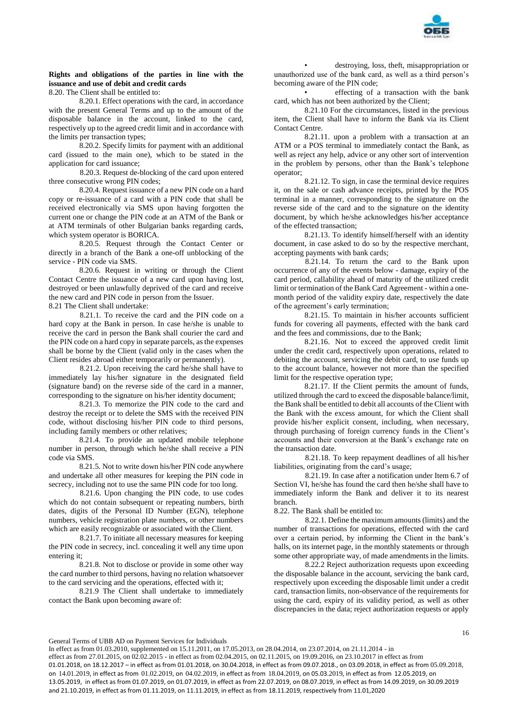

# **Rights and obligations of the parties in line with the issuance and use of debit and credit cards**

8.20. The Client shall be entitled to:

8.20.1. Effect operations with the card, in accordance with the present General Terms and up to the amount of the disposable balance in the account, linked to the card, respectively up to the agreed credit limit and in accordance with the limits per transaction types;

8.20.2. Specify limits for payment with an additional card (issued to the main one), which to be stated in the application for card issuance;

8.20.3. Request de-blocking of the card upon entered three consecutive wrong PIN codes;

8.20.4. Request issuance of a new PIN code on a hard copy or re-issuance of a card with a PIN code that shall be received electronically via SMS upon having forgotten the current one or change the PIN code at an ATM of the Bank or at ATM terminals of other Bulgarian banks regarding cards, which system operator is BORICA.

8.20.5. Request through the Contact Center or directly in a branch of the Bank a one-off unblocking of the service - PIN code via SMS.

8.20.6. Request in writing or through the Client Contact Centre the issuance of a new card upon having lost, destroyed or been unlawfully deprived of the card and receive the new card and PIN code in person from the Issuer.

8.21 The Client shall undertake:

8.21.1. To receive the card and the PIN code on a hard copy at the Bank in person. In case he/she is unable to receive the card in person the Bank shall courier the card and the PIN code on a hard copy in separate parcels, as the expenses shall be borne by the Client (valid only in the cases when the Client resides abroad either temporarily or permanently).

8.21.2. Upon receiving the card he/she shall have to immediately lay his/her signature in the designated field (signature band) on the reverse side of the card in a manner, corresponding to the signature on his/her identity document;

8.21.3. To memorize the PIN code to the card and destroy the receipt or to delete the SMS with the received PIN code, without disclosing his/her PIN code to third persons, including family members or other relatives;

8.21.4. To provide an updated mobile telephone number in person, through which he/she shall receive a PIN code via SMS.

8.21.5. Not to write down his/her PIN code anywhere and undertake all other measures for keeping the PIN code in secrecy, including not to use the same PIN code for too long.

8.21.6. Upon changing the PIN code, to use codes which do not contain subsequent or repeating numbers, birth dates, digits of the Personal ID Number (EGN), telephone numbers, vehicle registration plate numbers, or other numbers which are easily recognizable or associated with the Client.

8.21.7. To initiate all necessary measures for keeping the PIN code in secrecy, incl. concealing it well any time upon entering it;

8.21.8. Not to disclose or provide in some other way the card number to third persons, having no relation whatsoever to the card servicing and the operations, effected with it;

8.21.9 The Client shall undertake to immediately contact the Bank upon becoming aware of:

• destroying, loss, theft, misappropriation or unauthorized use of the bank card, as well as a third person's becoming aware of the PIN code;

• effecting of a transaction with the bank card, which has not been authorized by the Client;

8.21.10 For the circumstances, listed in the previous item, the Client shall have to inform the Bank via its Client Contact Centre.

8.21.11. upon a problem with a transaction at an ATM or a POS terminal to immediately contact the Bank, as well as reject any help, advice or any other sort of intervention in the problem by persons, other than the Bank's telephone operator;

8.21.12. To sign, in case the terminal device requires it, on the sale or cash advance receipts, printed by the POS terminal in a manner, corresponding to the signature on the reverse side of the card and to the signature on the identity document, by which he/she acknowledges his/her acceptance of the effected transaction;

8.21.13. To identify himself/herself with an identity document, in case asked to do so by the respective merchant, accepting payments with bank cards;

8.21.14. To return the card to the Bank upon occurrence of any of the events below - damage, expiry of the card period, callability ahead of maturity of the utilized credit limit or termination of the Bank Card Agreement - within a onemonth period of the validity expiry date, respectively the date of the agreement's early termination;

8.21.15. To maintain in his/her accounts sufficient funds for covering all payments, effected with the bank card and the fees and commissions, due to the Bank;

8.21.16. Not to exceed the approved credit limit under the credit card, respectively upon operations, related to debiting the account, servicing the debit card, to use funds up to the account balance, however not more than the specified limit for the respective operation type;

8.21.17. If the Client permits the amount of funds, utilized through the card to exceed the disposable balance/limit, the Bank shall be entitled to debit all accounts of the Client with the Bank with the excess amount, for which the Client shall provide his/her explicit consent, including, when necessary, through purchasing of foreign currency funds in the Client's accounts and their conversion at the Bank's exchange rate on the transaction date.

8.21.18. To keep repayment deadlines of all his/her liabilities, originating from the card's usage;

8.21.19. In case after a notification under Item 6.7 of Section VI, he/she has found the card then he/she shall have to immediately inform the Bank and deliver it to its nearest branch.

8.22. The Bank shall be entitled to:

8.22.1. Define the maximum amounts (limits) and the number of transactions for operations, effected with the card over a certain period, by informing the Client in the bank's halls, on its internet page, in the monthly statements or through some other appropriate way, of made amendments in the limits.

8.22.2 Reject authorization requests upon exceeding the disposable balance in the account, servicing the bank card, respectively upon exceeding the disposable limit under a credit card, transaction limits, non-observance of the requirements for using the card, expiry of its validity period, as well as other discrepancies in the data; reject authorization requests or apply

General Terms of UBB AD on Payment Services for Individuals

In effect as from 01.03.2010, supplemented on 15.11.2011, on 17.05.2013, on 28.04.2014, on 23.07.2014, on 21.11.2014 - in effect as from 27.01.2015, on 02.02.2015 - in effect as from 02.04.2015, on 02.11.2015, on 19.09.2016, on 23.10.2017 in effect as from 01.01.2018, on 18.12.2017 – in effect as from 01.01.2018, on 30.04.2018, in effect as from 09.07.2018., on 03.09.2018, in effect as from 05.09.2018, on 14.01.2019, in effect as from 01.02.2019, on 04.02.2019, in effect as from 18.04.2019, on 05.03.2019, in effect as from 12.05.2019, on 13.05.2019, in effect as from 01.07.2019, on 01.07.2019, in effect as from 22.07.2019, on 08.07.2019, in effect as from 14.09.2019, on 30.09.2019 and 21.10.2019, in effect as from 01.11.2019, on 11.11.2019, in effect as from 18.11.2019, respectively from 11.01,2020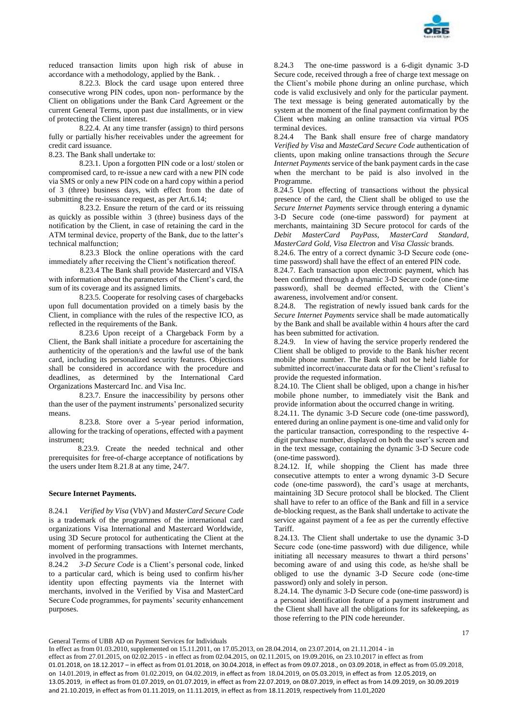

reduced transaction limits upon high risk of abuse in accordance with a methodology, applied by the Bank. .

8.22.3. Block the card usage upon entered three consecutive wrong PIN codes, upon non- performance by the Client on obligations under the Bank Card Agreement or the current General Terms, upon past due installments, or in view of protecting the Client interest.

8.22.4. At any time transfer (assign) to third persons fully or partially his/her receivables under the agreement for credit card issuance.

8.23. The Bank shall undertake to:

8.23.1. Upon a forgotten PIN code or a lost/ stolen or compromised card, to re-issue a new card with a new PIN code via SMS or only a new PIN code on a hard copy within a period of 3 (three) business days, with effect from the date of submitting the re-issuance request, as per Art.6.14;

8.23.2. Ensure the return of the card or its reissuing as quickly as possible within 3 (three) business days of the notification by the Client, in case of retaining the card in the ATM terminal device, property of the Bank, due to the latter's technical malfunction;

8.23.3 Block the online operations with the card immediately after receiving the Client's notification thereof.

8.23.4 The Bank shall provide Mastercard and VISA with information about the parameters of the Client's card, the sum of its coverage and its assigned limits.

8.23.5. Cooperate for resolving cases of chargebacks upon full documentation provided on a timely basis by the Client, in compliance with the rules of the respective ICO, as reflected in the requirements of the Bank.

8.23.6 Upon receipt of a Chargeback Form by a Client, the Bank shall initiate a procedure for ascertaining the authenticity of the operation/s and the lawful use of the bank card, including its personalized security features. Objections shall be considered in accordance with the procedure and deadlines, as determined by the International Card Organizations Mastercard Inc. and Visa Inc.

8.23.7. Ensure the inaccessibility by persons other than the user of the payment instruments' personalized security means.

8.23.8. Store over a 5-year period information, allowing for the tracking of operations, effected with a payment instrument;

 8.23.9. Create the needed technical and other prerequisites for free-of-charge acceptance of notifications by the users under Item 8.21.8 at any time, 24/7.

#### **Secure Internet Payments.**

8.24.1 *Verified by Visa* (VbV) and *MasterCard Secure Code* is a trademark of the programmes of the international card organizations Visa International and Mastercard Worldwide, using 3D Secure protocol for authenticating the Client at the moment of performing transactions with Internet merchants, involved in the programmes.

8.24.2 *3-D Secure Code* is a Client's personal code, linked to a particular card, which is being used to confirm his/her identity upon effecting payments via the Internet with merchants, involved in the Verified by Visa and MasterCard Secure Code programmes, for payments' security enhancement purposes.

8.24.3 The one-time password is a 6-digit dynamic 3-D Secure code, received through a free of charge text message on the Client's mobile phone during an online purchase, which code is valid exclusively and only for the particular payment. The text message is being generated automatically by the system at the moment of the final payment confirmation by the Client when making an online transaction via virtual POS terminal devices.

8.24.4 The Bank shall ensure free of charge mandatory *Verified by Visa* and *MasteCard Secure Code* authentication of clients, upon making online transactions through the *Secure Internet Payments* service of the bank payment cards in the case when the merchant to be paid is also involved in the Programme.

8.24.5 Upon effecting of transactions without the physical presence of the card, the Client shall be obliged to use the *Secure Internet Payments* service through entering a dynamic 3-D Secure code (one-time password) for payment at merchants, maintaining 3D Secure protocol for cards of the *Debit MasterCard PayPass, MasterCard Standard, MasterCard Gold, Visa Electron* and *Visa Classic* brands.

8.24.6. The entry of a correct dynamic 3-D Secure code (оnetime password) shall have the effect of an entered PIN code.

8.24.7. Each transaction upon electronic payment, which has been confirmed through a dynamic 3-D Secure code (one-time password), shall be deemed effected, with the Client's awareness, involvement and/or consent.

8.24.8. The registration of newly issued bank cards for the *Secure Internet Payments* service shall be made automatically by the Bank and shall be available within 4 hours after the card has been submitted for activation.

8.24.9. In view of having the service properly rendered the Client shall be obliged to provide to the Bank his/her recent mobile phone number. The Bank shall not be held liable for submitted incorrect/inaccurate data or for the Client's refusal to provide the requested information.

8.24.10. The Client shall be obliged, upon a change in his/her mobile phone number, to immediately visit the Bank and provide information about the occurred change in writing.

8.24.11. The dynamic 3-D Secure code (one-time password), entered during an online payment is one-time and valid only for the particular transaction, corresponding to the respective 4 digit purchase number, displayed on both the user's screen and in the text message, containing the dynamic 3-D Secure code (one-time password).

8.24.12. If, while shopping the Client has made three consecutive attempts to enter a wrong dynamic 3-D Secure code (оne-time password), the card's usage at merchants, maintaining 3D Secure protocol shall be blocked. The Client shall have to refer to an office of the Bank and fill in a service de-blocking request, as the Bank shall undertake to activate the service against payment of a fee as per the currently effective Tariff.

8.24.13. The Client shall undertake to use the dynamic 3-D Secure code (one-time password) with due diligence, while initiating all necessary measures to thwart a third persons' becoming aware of and using this code, as he/she shall be obliged to use the dynamic 3-D Secure code (оne-time password) only and solely in person.

8.24.14. The dynamic 3-D Secure code (one-time password) is a personal identification feature of a payment instrument and the Client shall have all the obligations for its safekeeping, as those referring to the PIN code hereunder.

General Terms of UBB AD on Payment Services for Individuals

In effect as from 01.03.2010, supplemented on 15.11.2011, on 17.05.2013, on 28.04.2014, on 23.07.2014, on 21.11.2014 - in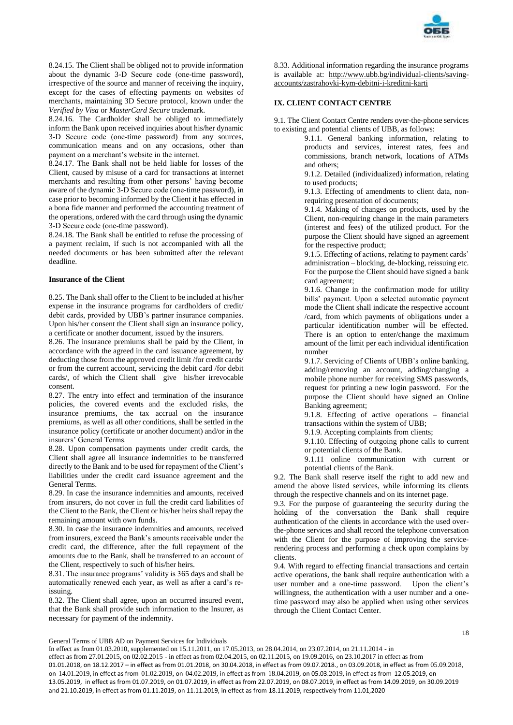

8.24.15. The Client shall be obliged not to provide information about the dynamic 3-D Secure code (оne-time password), irrespective of the source and manner of receiving the inquiry, except for the cases of effecting payments on websites of merchants, maintaining 3D Secure protocol, known under the *Verified by Visa* or *MasterCard Secure* trademark.

8.24.16. The Cardholder shall be obliged to immediately inform the Bank upon received inquiries about his/her dynamic 3-D Secure code (оne-time password) from any sources, communication means and on any occasions, other than payment on a merchant's website in the internet.

8.24.17. The Bank shall not be held liable for losses of the Client, caused by misuse of a card for transactions at internet merchants and resulting from other persons' having become aware of the dynamic 3-D Secure code (оne-time password), in case prior to becoming informed by the Client it has effected in a bona fide manner and performed the accounting treatment of the operations, ordered with the card through using the dynamic 3-D Secure code (оne-time password).

8.24.18. The Bank shall be entitled to refuse the processing of a payment reclaim, if such is not accompanied with all the needed documents or has been submitted after the relevant deadline.

## **Insurance of the Client**

8.25. The Bank shall offer to the Client to be included at his/her expense in the insurance programs for cardholders of credit/ debit cards, provided by UBB's partner insurance companies. Upon his/her consent the Client shall sign an insurance policy, a certificate or another document, issued by the insurers.

8.26. The insurance premiums shall be paid by the Client, in accordance with the agreed in the card issuance agreement, by deducting those from the approved credit limit /for credit cards/ or from the current account, servicing the debit card /for debit cards/, of which the Client shall give his/her irrevocable consent.

8.27. The entry into effect and termination of the insurance policies, the covered events and the excluded risks, the insurance premiums, the tax accrual on the insurance premiums, as well as all other conditions, shall be settled in the insurance policy (certificate or another document) and/or in the insurers' General Terms.

8.28. Upon compensation payments under credit cards, the Client shall agree all insurance indemnities to be transferred directly to the Bank and to be used for repayment of the Client's liabilities under the credit card issuance agreement and the General Terms.

8.29. In case the insurance indemnities and amounts, received from insurers, do not cover in full the credit card liabilities of the Client to the Bank, the Client or his/her heirs shall repay the remaining amount with own funds.

8.30. In case the insurance indemnities and amounts, received from insurers, exceed the Bank's amounts receivable under the credit card, the difference, after the full repayment of the amounts due to the Bank, shall be transferred to an account of the Client, respectively to such of his/her heirs.

8.31. The insurance programs' validity is 365 days and shall be automatically renewed each year, as well as after a card's reissuing.

8.32. The Client shall agree, upon an occurred insured event, that the Bank shall provide such information to the Insurer, as necessary for payment of the indemnity.

8.33. Additional information regarding the insurance programs is available at: [http://www.ubb.bg/individual-clients/saving](http://www.ubb.bg/individual-clients/saving-accounts/zastrahovki-kym-debitni-i-kreditni-karti)[accounts/zastrahovki-kym-debitni-i-kreditni-karti](http://www.ubb.bg/individual-clients/saving-accounts/zastrahovki-kym-debitni-i-kreditni-karti)

# **IX. CLIENT CONTACT CENTRE**

9.1. The Client Contact Centre renders over-the-phone services to existing and potential clients of UBB, as follows:

> 9.1.1. General banking information, relating to products and services, interest rates, fees and commissions, branch network, locations of ATMs and others;

9.1.2. Detailed (individualized) information, relating to used products;

9.1.3. Effecting of amendments to client data, nonrequiring presentation of documents;

9.1.4. Making of changes on products, used by the Client, non-requiring change in the main parameters (interest and fees) of the utilized product. For the purpose the Client should have signed an agreement for the respective product;

9.1.5. Effecting of actions, relating to payment cards' administration – blocking, de-blocking, reissuing etc. For the purpose the Client should have signed a bank card agreement;

9.1.6. Change in the confirmation mode for utility bills' payment. Upon a selected automatic payment mode the Client shall indicate the respective account /card, from which payments of obligations under a particular identification number will be effected. There is an option to enter/change the maximum amount of the limit per each individual identification number

9.1.7. Servicing of Clients of UBB's online banking, adding/removing an account, adding/changing a mobile phone number for receiving SMS passwords, request for printing a new login password. For the purpose the Client should have signed an Online Banking agreement;

9.1.8. Effecting of active operations – financial transactions within the system of UBB;

9.1.9. Accepting complaints from clients;

9.1.10. Effecting of outgoing phone calls to current or potential clients of the Bank.

9.1.11 online communication with current or potential clients of the Bank.

9.2. The Bank shall reserve itself the right to add new and amend the above listed services, while informing its clients through the respective channels and on its internet page.

9.3. For the purpose of guaranteeing the security during the holding of the conversation the Bank shall require authentication of the clients in accordance with the used overthe-phone services and shall record the telephone conversation with the Client for the purpose of improving the servicerendering process and performing a check upon complains by clients.

9.4. With regard to effecting financial transactions and certain active operations, the bank shall require authentication with a user number and a one-time password. Upon the client's willingness, the authentication with a user number and a onetime password may also be applied when using other services through the Client Contact Center.

18

General Terms of UBB AD on Payment Services for Individuals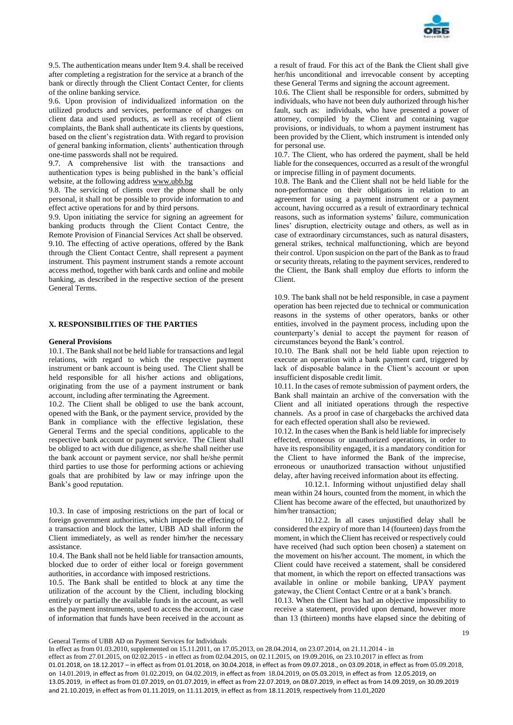

9.5. The authentication means under Item 9.4. shall be received after completing a registration for the service at a branch of the bank or directly through the Client Contact Center, for clients of the online banking service.

9.6. Upon provision of individualized information on the utilized products and services, performance of changes on client data and used products, as well as receipt of client complaints, the Bank shall authenticate its clients by questions, based on the client's registration data. With regard to provision of general banking information, clients' authentication through one-time passwords shall not be required.

9.7. A comprehensive list with the transactions and authentication types is being published in the bank's official website, at the following address [www.ubb.bg](blocked::http://www.ubb.bg/)

9.8. The servicing of clients over the phone shall be only personal, it shall not be possible to provide information to and effect active operations for and by third persons.

9.9. Upon initiating the service for signing an agreement for banking products through the Client Contact Centre, the Remote Provision of Financial Services Act shall be observed. 9.10. The effecting of active operations, offered by the Bank through the Client Contact Centre, shall represent a payment instrument. This payment instrument stands a remote account access method, together with bank cards and online and mobile banking, as described in the respective section of the present General Terms.

## **X. RESPONSIBILITIES OF THE PARTIES**

#### **General Provisions**

10.1. The Bank shall not be held liable for transactions and legal relations, with regard to which the respective payment instrument or bank account is being used. The Client shall be held responsible for all his/her actions and obligations, originating from the use of a payment instrument or bank account, including after terminating the Agreement.

10.2. The Client shall be obliged to use the bank account, opened with the Bank, or the payment service, provided by the Bank in compliance with the effective legislation, these General Terms and the special conditions, applicable to the respective bank account or payment service. The Client shall be obliged to act with due diligence, as she/he shall neither use the bank account or payment service, nor shall he/she permit third parties to use those for performing actions or achieving goals that are prohibited by law or may infringe upon the Bank's good reputation.

10.3. In case of imposing restrictions on the part of local or foreign government authorities, which impede the effecting of a transaction and block the latter, UBB AD shall inform the Client immediately, as well as render him/her the necessary assistance.

10.4. The Bank shall not be held liable for transaction amounts, blocked due to order of either local or foreign government authorities, in accordance with imposed restrictions.

10.5. The Bank shall be entitled to block at any time the utilization of the account by the Client, including blocking entirely or partially the available funds in the account, as well as the payment instruments, used to access the account, in case of information that funds have been received in the account as

a result of fraud. For this act of the Bank the Client shall give her/his unconditional and irrevocable consent by accepting these General Terms and signing the account agreement.

10.6. The Client shall be responsible for orders, submitted by individuals, who have not been duly authorized through his/her fault, such as: individuals, who have presented a power of attorney, compiled by the Client and containing vague provisions, or individuals, to whom a payment instrument has been provided by the Client, which instrument is intended only for personal use.

10.7. The Client, who has ordered the payment, shall be held liable for the consequences, occurred as a result of the wrongful or imprecise filling in of payment documents.

10.8. The Bank and the Client shall not be held liable for the non-performance on their obligations in relation to an agreement for using a payment instrument or a payment account, having occurred as a result of extraordinary technical reasons, such as information systems' failure, communication lines' disruption, electricity outage and others, as well as in case of extraordinary circumstances, such as natural disasters, general strikes, technical malfunctioning, which are beyond their control. Upon suspicion on the part of the Bank as to fraud or security threats, relating to the payment services, rendered to the Client, the Bank shall employ due efforts to inform the Client.

10.9. The bank shall not be held responsible, in case a payment operation has been rejected due to technical or communication reasons in the systems of other operators, banks or other entities, involved in the payment process, including upon the counterparty's denial to accept the payment for reason of circumstances beyond the Bank's control.

10.10. The Bank shall not be held liable upon rejection to execute an operation with a bank payment card, triggered by lack of disposable balance in the Client's account or upon insufficient disposable credit limit.

10.11. In the cases of remote submission of payment orders, the Bank shall maintain an archive of the conversation with the Client and all initiated operations through the respective channels. As a proof in case of chargebacks the archived data for each effected operation shall also be reviewed.

10.12. In the cases when the Bank is held liable for imprecisely effected, erroneous or unauthorized operations, in order to have its responsibility engaged, it is a mandatory condition for the Client to have informed the Bank of the imprecise, erroneous or unauthorized transaction without unjustified delay, after having received information about its effecting.

10.12.1. Informing without unjustified delay shall mean within 24 hours, counted from the moment, in which the Client has become aware of the effected, but unauthorized by him/her transaction;

10.12.2. In all cases unjustified delay shall be considered the expiry of more than 14 (fourteen) days from the moment, in which the Client has received or respectively could have received (had such option been chosen) a statement on the movement on his/her account. The moment, in which the Client could have received a statement, shall be considered that moment, in which the report on effected transactions was available in online or mobile banking, UPAY payment gateway, the Client Contact Centre or at a bank's branch.

10.13. When the Client has had an objective impossibility to receive a statement, provided upon demand, however more than 13 (thirteen) months have elapsed since the debiting of

General Terms of UBB AD on Payment Services for Individuals

In effect as from 01.03.2010, supplemented on 15.11.2011, on 17.05.2013, on 28.04.2014, on 23.07.2014, on 21.11.2014 - in effect as from 27.01.2015, on 02.02.2015 - in effect as from 02.04.2015, on 02.11.2015, on 19.09.2016, on 23.10.2017 in effect as from 01.01.2018, on 18.12.2017 – in effect as from 01.01.2018, on 30.04.2018, in effect as from 09.07.2018., on 03.09.2018, in effect as from 05.09.2018, on 14.01.2019, in effect as from 01.02.2019, on 04.02.2019, in effect as from 18.04.2019, on 05.03.2019, in effect as from 12.05.2019, on 13.05.2019, in effect as from 01.07.2019, on 01.07.2019, in effect as from 22.07.2019, on 08.07.2019, in effect as from 14.09.2019, on 30.09.2019 and 21.10.2019, in effect as from 01.11.2019, on 11.11.2019, in effect as from 18.11.2019, respectively from 11.01,2020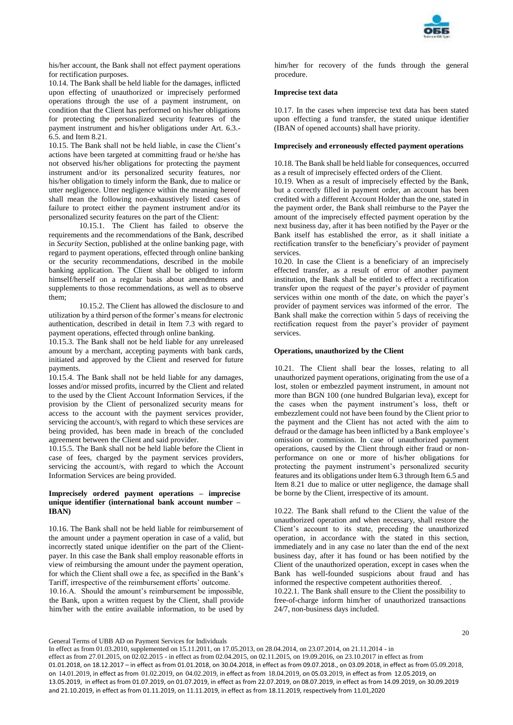

his/her account, the Bank shall not effect payment operations for rectification purposes.

10.14. The Bank shall be held liable for the damages, inflicted upon effecting of unauthorized or imprecisely performed operations through the use of a payment instrument, on condition that the Client has performed on his/her obligations for protecting the personalized security features of the payment instrument and his/her obligations under Art. 6.3.- 6.5. and Item 8.21.

10.15. The Bank shall not be held liable, in case the Client's actions have been targeted at committing fraud or he/she has not observed his/her obligations for protecting the payment instrument and/or its personalized security features, nor his/her obligation to timely inform the Bank, due to malice or utter negligence. Utter negligence within the meaning hereof shall mean the following non-exhaustively listed cases of failure to protect either the payment instrument and/or its personalized security features on the part of the Client:

10.15.1. The Client has failed to observe the requirements and the recommendations of the Bank, described in *Security* Section, published at the online banking page, with regard to payment operations, effected through online banking or the security recommendations, described in the mobile banking application. The Client shall be obliged to inform himself/herself on a regular basis about amendments and supplements to those recommendations, as well as to observe them;

10.15.2. The Client has allowed the disclosure to and utilization by a third person of the former's means for electronic authentication, described in detail in Item 7.3 with regard to payment operations, effected through online banking.

10.15.3. The Bank shall not be held liable for any unreleased amount by a merchant, accepting payments with bank cards, initiated and approved by the Client and reserved for future payments.

10.15.4. The Bank shall not be held liable for any damages, losses and/or missed profits, incurred by the Client and related to the used by the Client Account Information Services, if the provision by the Client of personalized security means for access to the account with the payment services provider, servicing the account/s, with regard to which these services are being provided, has been made in breach of the concluded agreement between the Client and said provider.

10.15.5. The Bank shall not be held liable before the Client in case of fees, charged by the payment services providers, servicing the account/s, with regard to which the Account Information Services are being provided.

## **Imprecisely ordered payment operations – imprecise unique identifier (international bank account number – IBAN)**

10.16. The Bank shall not be held liable for reimbursement of the amount under a payment operation in case of a valid, but incorrectly stated unique identifier on the part of the Clientpayer. In this case the Bank shall employ reasonable efforts in view of reimbursing the amount under the payment operation, for which the Client shall owe a fee, as specified in the Bank's Tariff, irrespective of the reimbursement efforts' outcome.

10.16.А. Should the amount's reimbursement be impossible, the Bank, upon a written request by the Client, shall provide him/her with the entire available information, to be used by

him/her for recovery of the funds through the general procedure.

## **Imprecise text data**

10.17. In the cases when imprecise text data has been stated upon effecting a fund transfer, the stated unique identifier (IBAN of opened accounts) shall have priority.

## **Imprecisely and erroneously effected payment operations**

10.18. The Bank shall be held liable for consequences, occurred as a result of imprecisely effected orders of the Client.

10.19. When as a result of imprecisely effected by the Bank, but a correctly filled in payment order, an account has been credited with a different Account Holder than the one, stated in the payment order, the Bank shall reimburse to the Payer the amount of the imprecisely effected payment operation by the next business day, after it has been notified by the Payer or the Bank itself has established the error, as it shall initiate a rectification transfer to the beneficiary's provider of payment services.

10.20. In case the Client is a beneficiary of an imprecisely effected transfer, as a result of error of another payment institution, the Bank shall be entitled to effect a rectification transfer upon the request of the payer's provider of payment services within one month of the date, on which the payer's provider of payment services was informed of the error. The Bank shall make the correction within 5 days of receiving the rectification request from the payer's provider of payment services.

## **Operations, unauthorized by the Client**

10.21. The Client shall bear the losses, relating to all unauthorized payment operations, originating from the use of a lost, stolen or embezzled payment instrument, in amount not more than BGN 100 (one hundred Bulgarian leva), except for the cases when the payment instrument's loss, theft or embezzlement could not have been found by the Client prior to the payment and the Client has not acted with the aim to defraud or the damage has been inflicted by a Bank employee's omission or commission. In case of unauthorized payment operations, caused by the Client through either fraud or nonperformance on one or more of his/her obligations for protecting the payment instrument's personalized security features and its obligations under Item 6.3 through Item 6.5 and Item 8.21 due to malice or utter negligence, the damage shall be borne by the Client, irrespective of its amount.

10.22. The Bank shall refund to the Client the value of the unauthorized operation and when necessary, shall restore the Client's account to its state, preceding the unauthorized operation, in accordance with the stated in this section, immediately and in any case no later than the end of the next business day, after it has found or has been notified by the Client of the unauthorized operation, except in cases when the Bank has well-founded suspicions about fraud and has informed the respective competent authorities thereof. .

10.22.1. The Bank shall ensure to the Client the possibility to free-of-charge inform him/her of unauthorized transactions 24/7, non-business days included.

General Terms of UBB AD on Payment Services for Individuals

In effect as from 01.03.2010, supplemented on 15.11.2011, on 17.05.2013, on 28.04.2014, on 23.07.2014, on 21.11.2014 - in effect as from 27.01.2015, on 02.02.2015 - in effect as from 02.04.2015, on 02.11.2015, on 19.09.2016, on 23.10.2017 in effect as from 01.01.2018, on 18.12.2017 – in effect as from 01.01.2018, on 30.04.2018, in effect as from 09.07.2018., on 03.09.2018, in effect as from 05.09.2018, on 14.01.2019, in effect as from 01.02.2019, on 04.02.2019, in effect as from 18.04.2019, on 05.03.2019, in effect as from 12.05.2019, on 13.05.2019, in effect as from 01.07.2019, on 01.07.2019, in effect as from 22.07.2019, on 08.07.2019, in effect as from 14.09.2019, on 30.09.2019 and 21.10.2019, in effect as from 01.11.2019, on 11.11.2019, in effect as from 18.11.2019, respectively from 11.01,2020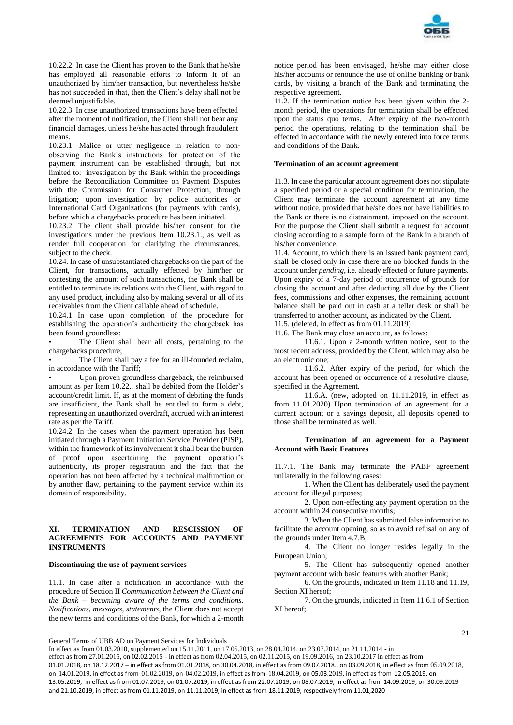

10.22.2. In case the Client has proven to the Bank that he/she has employed all reasonable efforts to inform it of an unauthorized by him/her transaction, but nevertheless he/she has not succeeded in that, then the Client's delay shall not be deemed unjustifiable.

10.22.3. In case unauthorized transactions have been effected after the moment of notification, the Client shall not bear any financial damages, unless he/she has acted through fraudulent means.

10.23.1. Malice or utter negligence in relation to nonobserving the Bank's instructions for protection of the payment instrument can be established through, but not limited to: investigation by the Bank within the proceedings before the Reconciliation Committee on Payment Disputes with the Commission for Consumer Protection; through litigation; upon investigation by police authorities or International Card Organizations (for payments with cards), before which a chargebacks procedure has been initiated.

10.23.2. The client shall provide his/her consent for the investigations under the previous Item 10.23.1., as well as render full cooperation for clarifying the circumstances, subject to the check.

10.24. In case of unsubstantiated chargebacks on the part of the Client, for transactions, actually effected by him/her or contesting the amount of such transactions, the Bank shall be entitled to terminate its relations with the Client, with regard to any used product, including also by making several or all of its receivables from the Client callable ahead of schedule.

10.24.1 In case upon completion of the procedure for establishing the operation's authenticity the chargeback has been found groundless:

The Client shall bear all costs, pertaining to the chargebacks procedure;

The Client shall pay a fee for an ill-founded reclaim, in accordance with the Tariff;

Upon proven groundless chargeback, the reimbursed amount as per Item 10.22., shall be debited from the Holder's account/credit limit. If, as at the moment of debiting the funds are insufficient, the Bank shall be entitled to form a debt, representing an unauthorized overdraft, accrued with an interest rate as per the Tariff.

10.24.2. In the cases when the payment operation has been initiated through a Payment Initiation Service Provider (PISP), within the framework of its involvement it shall bear the burden of proof upon ascertaining the payment operation's authenticity, its proper registration and the fact that the operation has not been affected by a technical malfunction or by another flaw, pertaining to the payment service within its domain of responsibility.

## **XI. TERMINATION AND RESCISSION OF AGREEMENTS FOR ACCOUNTS AND PAYMENT INSTRUMENTS**

#### **Discontinuing the use of payment services**

11.1. In case after a notification in accordance with the procedure of Section II *Communication between the Client and the Bank – becoming aware of the terms and conditions*. *Notifications, messages, statements*, the Client does not accept the new terms and conditions of the Bank, for which a 2-month

notice period has been envisaged, he/she may either close his/her accounts or renounce the use of online banking or bank cards, by visiting a branch of the Bank and terminating the respective agreement.

11.2. If the termination notice has been given within the 2 month period, the operations for termination shall be effected upon the status quo terms. After expiry of the two-month period the operations, relating to the termination shall be effected in accordance with the newly entered into force terms and conditions of the Bank.

## **Termination of an account agreement**

11.3. In case the particular account agreement does not stipulate a specified period or a special condition for termination, the Client may terminate the account agreement at any time without notice, provided that he/she does not have liabilities to the Bank or there is no distrainment, imposed on the account. For the purpose the Client shall submit a request for account closing according to a sample form of the Bank in a branch of his/her convenience.

11.4. Account, to which there is an issued bank payment card, shall be closed only in case there are no blocked funds in the account under *pending*, i.e. already effected or future payments. Upon expiry of a 7-day period of occurrence of grounds for closing the account and after deducting all due by the Client fees, commissions and other expenses, the remaining account balance shall be paid out in cash at a teller desk or shall be transferred to another account, as indicated by the Client.

11.5. (deleted, in effect as from 01.11.2019)

11.6. The Bank may close an account, as follows:

11.6.1. Upon a 2-month written notice, sent to the most recent address, provided by the Client, which may also be an electronic one;

11.6.2. After expiry of the period, for which the account has been opened or occurrence of a resolutive clause, specified in the Agreement.

11.6.A. (new, adopted on 11.11.2019, in effect as from 11.01.2020) Upon termination of an agreement for a current account or a savings deposit, all deposits opened to those shall be terminated as well.

## **Termination of an agreement for a Payment Account with Basic Features**

11.7.1. The Bank may terminate the PABF agreement unilaterally in the following cases:

1. When the Client has deliberately used the payment account for illegal purposes;

2. Upon non-effecting any payment operation on the account within 24 consecutive months;

3. When the Client has submitted false information to facilitate the account opening, so as to avoid refusal on any of the grounds under Item 4.7.B;

4. The Client no longer resides legally in the European Union;

5. The Client has subsequently opened another payment account with basic features with another Bank;

6. On the grounds, indicated in Item 11.18 and 11.19, Section XI hereof;

7. On the grounds, indicated in Item 11.6.1 of Section XI hereof;

21

General Terms of UBB AD on Payment Services for Individuals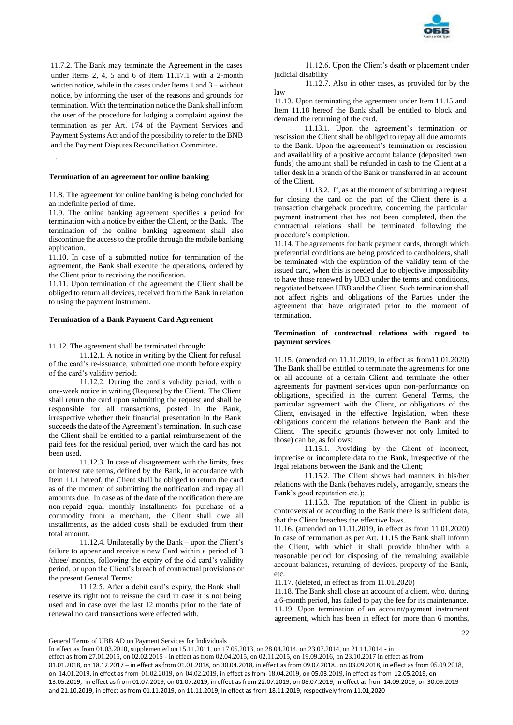

11.7.2. The Bank may terminate the Agreement in the cases under Items 2, 4, 5 and 6 of Item 11.17.1 with a 2-month written notice, while in the cases under Items 1 and 3 – without notice, by informing the user of the reasons and grounds for termination. With the termination notice the Bank shall inform the user of the procedure for lodging a complaint against the termination as per Art. 174 of the Payment Services and Payment Systems Act and of the possibility to refer to the BNB and the Payment Disputes Reconciliation Committee.

## **Termination of an agreement for online banking**

.

11.8. The agreement for online banking is being concluded for an indefinite period of time.

11.9. The online banking agreement specifies a period for termination with a notice by either the Client, or the Bank. The termination of the online banking agreement shall also discontinue the access to the profile through the mobile banking application.

11.10. In case of a submitted notice for termination of the agreement, the Bank shall execute the operations, ordered by the Client prior to receiving the notification.

11.11. Upon termination of the agreement the Client shall be obliged to return all devices, received from the Bank in relation to using the payment instrument.

## **Termination of a Bank Payment Card Agreement**

11.12. The agreement shall be terminated through:

11.12.1. A notice in writing by the Client for refusal of the card's re-issuance, submitted one month before expiry of the card's validity period;

11.12.2. During the card's validity period, with a one-week notice in writing (Request) by the Client. The Client shall return the card upon submitting the request and shall be responsible for all transactions, posted in the Bank, irrespective whether their financial presentation in the Bank succeeds the date of the Agreement's termination. In such case the Client shall be entitled to a partial reimbursement of the paid fees for the residual period, over which the card has not been used.

11.12.3. In case of disagreement with the limits, fees or interest rate terms, defined by the Bank, in accordance with Item 11.1 hereof, the Client shall be obliged to return the card as of the moment of submitting the notification and repay all amounts due. In case as of the date of the notification there are non-repaid equal monthly installments for purchase of a commodity from a merchant, the Client shall owe all installments, as the added costs shall be excluded from their total amount.

11.12.4. Unilaterally by the Bank – upon the Client's failure to appear and receive a new Card within a period of 3 /three/ months, following the expiry of the old card's validity period, or upon the Client's breach of contractual provisions or the present General Terms;

11.12.5. After a debit card's expiry, the Bank shall reserve its right not to reissue the card in case it is not being used and in case over the last 12 months prior to the date of renewal no card transactions were effected with.

11.12.6. Upon the Client's death or placement under judicial disability

11.12.7. Also in other cases, as provided for by the law

11.13. Upon terminating the agreement under Item 11.15 and Item 11.18 hereof the Bank shall be entitled to block and demand the returning of the card.

11.13.1. Upon the agreement's termination or rescission the Client shall be obliged to repay all due amounts to the Bank. Upon the agreement's termination or rescission and availability of a positive account balance (deposited own funds) the amount shall be refunded in cash to the Client at a teller desk in a branch of the Bank or transferred in an account of the Client.

11.13.2. If, as at the moment of submitting a request for closing the card on the part of the Client there is a transaction chargeback procedure, concerning the particular payment instrument that has not been completed, then the contractual relations shall be terminated following the procedure's completion.

11.14. The agreements for bank payment cards, through which preferential conditions are being provided to cardholders, shall be terminated with the expiration of the validity term of the issued card, when this is needed due to objective impossibility to have those renewed by UBB under the terms and conditions, negotiated between UBB and the Client. Such termination shall not affect rights and obligations of the Parties under the agreement that have originated prior to the moment of termination.

## **Termination of contractual relations with regard to payment services**

11.15. (amended on 11.11.2019, in effect as from11.01.2020) The Bank shall be entitled to terminate the agreements for one or all accounts of a certain Client and terminate the other agreements for payment services upon non-performance on obligations, specified in the current General Terms, the particular agreement with the Client, or obligations of the Client, envisaged in the effective legislation, when these obligations concern the relations between the Bank and the Client. The specific grounds (however not only limited to those) can be, as follows:

11.15.1. Providing by the Client of incorrect, imprecise or incomplete data to the Bank, irrespective of the legal relations between the Bank and the Client;

11.15.2. The Client shows bad manners in his/her relations with the Bank (behaves rudely, arrogantly, smears the Bank's good reputation etc.);

11.15.3. The reputation of the Client in public is controversial or according to the Bank there is sufficient data, that the Client breaches the effective laws.

11.16. (amended on 11.11.2019, in effect as from 11.01.2020) In case of termination as per Art. 11.15 the Bank shall inform the Client, with which it shall provide him/her with a reasonable period for disposing of the remaining available account balances, returning of devices, property of the Bank, etc.

11.17. (deleted, in effect as from 11.01.2020)

11.18. The Bank shall close an account of a client, who, during a 6-month period, has failed to pay the fee for its maintenance. 11.19. Upon termination of an account/payment instrument agreement, which has been in effect for more than 6 months,

General Terms of UBB AD on Payment Services for Individuals

In effect as from 01.03.2010, supplemented on 15.11.2011, on 17.05.2013, on 28.04.2014, on 23.07.2014, on 21.11.2014 - in effect as from 27.01.2015, on 02.02.2015 - in effect as from 02.04.2015, on 02.11.2015, on 19.09.2016, on 23.10.2017 in effect as from 01.01.2018, on 18.12.2017 – in effect as from 01.01.2018, on 30.04.2018, in effect as from 09.07.2018., on 03.09.2018, in effect as from 05.09.2018, on 14.01.2019, in effect as from 01.02.2019, on 04.02.2019, in effect as from 18.04.2019, on 05.03.2019, in effect as from 12.05.2019, on 13.05.2019, in effect as from 01.07.2019, on 01.07.2019, in effect as from 22.07.2019, on 08.07.2019, in effect as from 14.09.2019, on 30.09.2019 and 21.10.2019, in effect as from 01.11.2019, on 11.11.2019, in effect as from 18.11.2019, respectively from 11.01,2020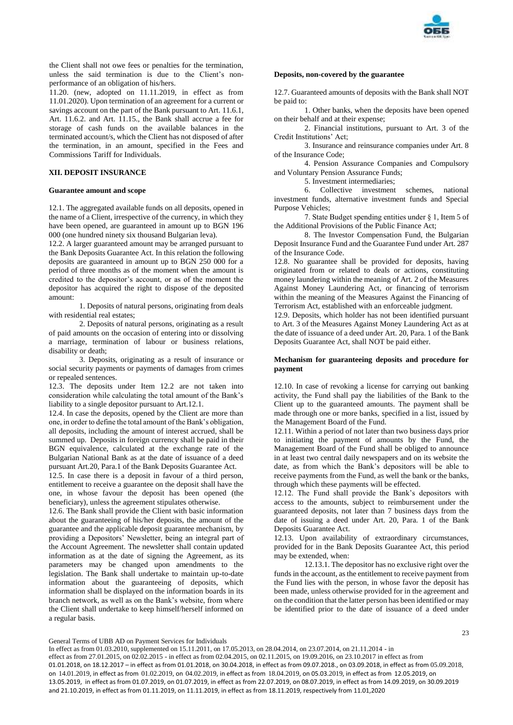

the Client shall not owe fees or penalties for the termination, unless the said termination is due to the Client's nonperformance of an obligation of his/hers.

11.20. (new, adopted on 11.11.2019, in effect as from 11.01.2020). Upon termination of an agreement for a current or savings account on the part of the Bank pursuant to Art. 11.6.1, Art. 11.6.2. and Art. 11.15., the Bank shall accrue a fee for storage of cash funds on the available balances in the terminated account/s, which the Client has not disposed of after the termination, in an amount, specified in the Fees and Commissions Tariff for Individuals.

## **XII. DEPOSIT INSURANCE**

#### **Guarantee amount and scope**

12.1. The aggregated available funds on all deposits, opened in the name of a Client, irrespective of the currency, in which they have been opened, are guaranteed in amount up to BGN 196 000 (one hundred ninety six thousand Bulgarian leva).

12.2. A larger guaranteed amount may be arranged pursuant to the Bank Deposits Guarantee Act. In this relation the following deposits are guaranteed in amount up to BGN 250 000 for a period of three months as of the moment when the amount is credited to the depositor's account, or as of the moment the depositor has acquired the right to dispose of the deposited amount:

1. Deposits of natural persons, originating from deals with residential real estates;

2. Deposits of natural persons, originating as a result of paid amounts on the occasion of entering into or dissolving a marriage, termination of labour or business relations, disability or death;

3. Deposits, originating as a result of insurance or social security payments or payments of damages from crimes or repealed sentences.

12.3. The deposits under Item 12.2 are not taken into consideration while calculating the total amount of the Bank's liability to a single depositor pursuant to Art.12.1.

12.4. In case the deposits, opened by the Client are more than one, in order to define the total amount of the Bank's obligation, all deposits, including the amount of interest accrued, shall be summed up. Deposits in foreign currency shall be paid in their BGN equivalence, calculated at the exchange rate of the Bulgarian National Bank as at the date of issuance of a deed pursuant Art.20, Para.1 of the Bank Deposits Guarantee Act.

12.5. In case there is a deposit in favour of a third person, entitlement to receive a guarantee on the deposit shall have the one, in whose favour the deposit has been opened (the beneficiary), unless the agreement stipulates otherwise.

12.6. The Bank shall provide the Client with basic information about the guaranteeing of his/her deposits, the amount of the guarantee and the applicable deposit guarantee mechanism, by providing a Depositors' Newsletter, being an integral part of the Account Agreement. The newsletter shall contain updated information as at the date of signing the Agreement, as its parameters may be changed upon amendments to the legislation. The Bank shall undertake to maintain up-to-date information about the guaranteeing of deposits, which information shall be displayed on the information boards in its branch network, as well as on the Bank's website, from where the Client shall undertake to keep himself/herself informed on a regular basis.

#### **Deposits, non-covered by the guarantee**

12.7. Guaranteed amounts of deposits with the Bank shall NOT be paid to:

1. Other banks, when the deposits have been opened on their behalf and at their expense;

2. Financial institutions, pursuant to Art. 3 of the Credit Institutions' Act;

3. Insurance and reinsurance companies under Art. 8 of the Insurance Code;

4. Pension Assurance Companies and Compulsory and Voluntary Pension Assurance Funds;

5. Investment intermediaries;

6. Collective investment schemes, national investment funds, alternative investment funds and Special Purpose Vehicles;

7. State Budget spending entities under § 1, Item 5 of the Additional Provisions of the Public Finance Act;

8. The Investor Compensation Fund, the Bulgarian Deposit Insurance Fund and the Guarantee Fund under Art. 287 of the Insurance Code.

12.8. No guarantee shall be provided for deposits, having originated from or related to deals or actions, constituting money laundering within the meaning of Art. 2 of the Measures Against Money Laundering Act, or financing of terrorism within the meaning of the Measures Against the Financing of Terrorism Act, established with an enforceable judgment.

12.9. Deposits, which holder has not been identified pursuant to Art. 3 of the Measures Against Money Laundering Act as at the date of issuance of a deed under Art. 20, Para. 1 of the Bank Deposits Guarantee Act, shall NOT be paid either.

## **Mechanism for guaranteeing deposits and procedure for payment**

12.10. In case of revoking a license for carrying out banking activity, the Fund shall pay the liabilities of the Bank to the Client up to the guaranteed amounts. The payment shall be made through one or more banks, specified in a list, issued by the Management Board of the Fund.

12.11. Within a period of not later than two business days prior to initiating the payment of amounts by the Fund, the Management Board of the Fund shall be obliged to announce in at least two central daily newspapers and on its website the date, as from which the Bank's depositors will be able to receive payments from the Fund, as well the bank or the banks, through which these payments will be effected.

12.12. The Fund shall provide the Bank's depositors with access to the amounts, subject to reimbursement under the guaranteed deposits, not later than 7 business days from the date of issuing a deed under Art. 20, Para. 1 of the Bank Deposits Guarantee Act.

12.13. Upon availability of extraordinary circumstances, provided for in the Bank Deposits Guarantee Act, this period may be extended, when:

12.13.1. The depositor has no exclusive right over the funds in the account, as the entitlement to receive payment from the Fund lies with the person, in whose favor the deposit has been made, unless otherwise provided for in the agreement and on the condition that the latter person has been identified or may be identified prior to the date of issuance of a deed under

General Terms of UBB AD on Payment Services for Individuals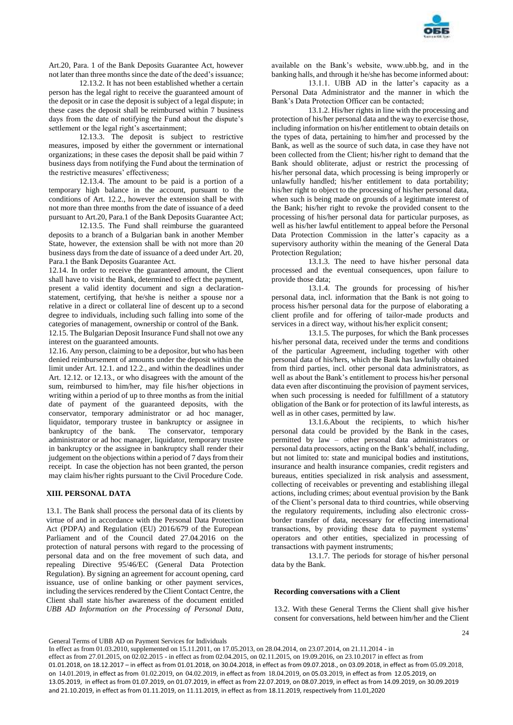

Art.20, Para. 1 of the Bank Deposits Guarantee Act, however not later than three months since the date of the deed's issuance;

12.13.2. It has not been established whether a certain person has the legal right to receive the guaranteed amount of the deposit or in case the deposit is subject of a legal dispute; in these cases the deposit shall be reimbursed within 7 business days from the date of notifying the Fund about the dispute's settlement or the legal right's ascertainment;

12.13.3. The deposit is subject to restrictive measures, imposed by either the government or international organizations; in these cases the deposit shall be paid within 7 business days from notifying the Fund about the termination of the restrictive measures' effectiveness;

12.13.4. The amount to be paid is a portion of a temporary high balance in the account, pursuant to the conditions of Art. 12.2., however the extension shall be with not more than three months from the date of issuance of a deed pursuant to Art.20, Para.1 of the Bank Deposits Guarantee Act;

12.13.5. The Fund shall reimburse the guaranteed deposits to a branch of a Bulgarian bank in another Member State, however, the extension shall be with not more than 20 business days from the date of issuance of a deed under Art. 20, Para.1 the Bank Deposits Guarantee Act.

12.14. In order to receive the guaranteed amount, the Client shall have to visit the Bank, determined to effect the payment, present a valid identity document and sign a declarationstatement, certifying, that he/she is neither a spouse nor a relative in a direct or collateral line of descent up to a second degree to individuals, including such falling into some of the categories of management, ownership or control of the Bank.

12.15. The Bulgarian Deposit Insurance Fund shall not owe any interest on the guaranteed amounts.

12.16. Any person, claiming to be a depositor, but who has been denied reimbursement of amounts under the deposit within the limit under Art. 12.1. and 12.2., and within the deadlines under Art. 12.12. or 12.13., or who disagrees with the amount of the sum, reimbursed to him/her, may file his/her objections in writing within a period of up to three months as from the initial date of payment of the guaranteed deposits, with the conservator, temporary administrator or ad hoc manager, liquidator, temporary trustee in bankruptcy or assignee in bankruptcy of the bank. The conservator, temporary administrator or ad hoc manager, liquidator, temporary trustee in bankruptcy or the assignee in bankruptcy shall render their judgement on the objections within a period of 7 days from their receipt. In case the objection has not been granted, the person may claim his/her rights pursuant to the Civil Procedure Code.

## **XIII. PERSONAL DATA**

13.1. The Bank shall process the personal data of its clients by virtue of and in accordance with the Personal Data Protection Act (PDPA) and Regulation (EU) 2016/679 of the European Parliament and of the Council dated 27.04.2016 on the protection of natural persons with regard to the processing of personal data and on the free movement of such data, and repealing Directive 95/46/EC (General Data Protection Regulation). By signing an agreement for account opening, card issuance, use of online banking or other payment services, including the services rendered by the Client Contact Centre, the Client shall state his/her awareness of the document entitled *UBB AD Information on the Processing of Personal Data*,

available on the Bank's website, www.ubb.bg, and in the banking halls, and through it he/she has become informed about:

13.1.1. UBB AD in the latter's capacity as a Personal Data Administrator and the manner in which the Bank's Data Protection Officer can be contacted;

13.1.2. His/her rights in line with the processing and protection of his/her personal data and the way to exercise those, including information on his/her entitlement to obtain details on the types of data, pertaining to him/her and processed by the Bank, as well as the source of such data, in case they have not been collected from the Client; his/her right to demand that the Bank should obliterate, adjust or restrict the processing of his/her personal data, which processing is being improperly or unlawfully handled; his/her entitlement to data portability; his/her right to object to the processing of his/her personal data, when such is being made on grounds of a legitimate interest of the Bank; his/her right to revoke the provided consent to the processing of his/her personal data for particular purposes, as well as his/her lawful entitlement to appeal before the Personal Data Protection Commission in the latter's capacity as a supervisory authority within the meaning of the General Data Protection Regulation;

13.1.3. The need to have his/her personal data processed and the eventual consequences, upon failure to provide those data;

13.1.4. The grounds for processing of his/her personal data, incl. information that the Bank is not going to process his/her personal data for the purpose of elaborating a client profile and for offering of tailor-made products and services in a direct way, without his/her explicit consent;

13.1.5. The purposes, for which the Bank processes his/her personal data, received under the terms and conditions of the particular Agreement, including together with other personal data of his/hers, which the Bank has lawfully obtained from third parties, incl. other personal data administrators, as well as about the Bank's entitlement to process his/her personal data even after discontinuing the provision of payment services, when such processing is needed for fulfillment of a statutory obligation of the Bank or for protection of its lawful interests, as well as in other cases, permitted by law.

13.1.6.About the recipients, to which his/her personal data could be provided by the Bank in the cases, permitted by law – other personal data administrators or personal data processors, acting on the Bank's behalf, including, but not limited to: state and municipal bodies and institutions, insurance and health insurance companies, credit registers and bureaus, entities specialized in risk analysis and assessment, collecting of receivables or preventing and establishing illegal actions, including crimes; about eventual provision by the Bank of the Client's personal data to third countries, while observing the regulatory requirements, including also electronic crossborder transfer of data, necessary for effecting international transactions, by providing these data to payment systems' operators and other entities, specialized in processing of transactions with payment instruments;

13.1.7. The periods for storage of his/her personal data by the Bank.

#### **Recording conversations with a Client**

13.2. With these General Terms the Client shall give his/her consent for conversations, held between him/her and the Client

General Terms of UBB AD on Payment Services for Individuals

In effect as from 01.03.2010, supplemented on 15.11.2011, on 17.05.2013, on 28.04.2014, on 23.07.2014, on 21.11.2014 - in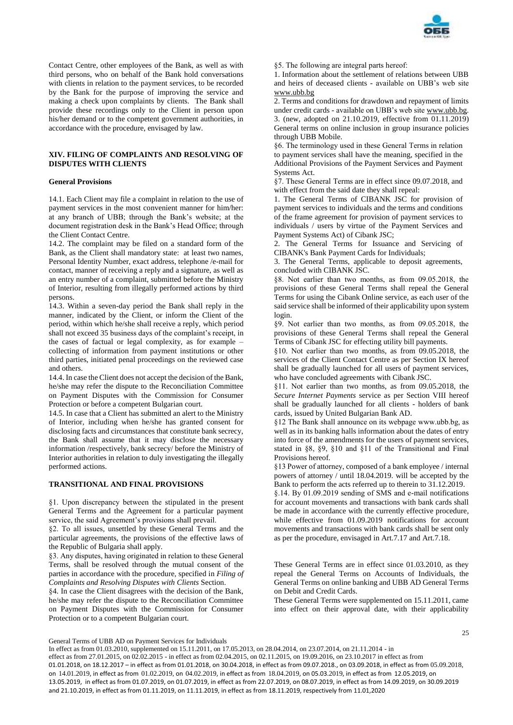

Contact Centre, other employees of the Bank, as well as with third persons, who on behalf of the Bank hold conversations with clients in relation to the payment services, to be recorded by the Bank for the purpose of improving the service and making a check upon complaints by clients. The Bank shall provide these recordings only to the Client in person upon his/her demand or to the competent government authorities, in accordance with the procedure, envisaged by law.

## **XIV. FILING OF COMPLAINTS AND RESOLVING OF DISPUTES WITH CLIENTS**

## **General Provisions**

14.1. Each Client may file a complaint in relation to the use of payment services in the most convenient manner for him/her: at any branch of UBB; through the Bank's website; at the document registration desk in the Bank's Head Office; through the Client Contact Centre.

14.2. The complaint may be filed on a standard form of the Bank, as the Client shall mandatory state: at least two names, Personal Identity Number, exact address, telephone /e-mail for contact, manner of receiving a reply and a signature, as well as an entry number of a complaint, submitted before the Ministry of Interior, resulting from illegally performed actions by third persons.

14.3. Within a seven-day period the Bank shall reply in the manner, indicated by the Client, or inform the Client of the period, within which he/she shall receive a reply, which period shall not exceed 35 business days of the complaint's receipt, in the cases of factual or legal complexity, as for example – collecting of information from payment institutions or other third parties, initiated penal proceedings on the reviewed case and others.

14.4. In case the Client does not accept the decision of the Bank, he/she may refer the dispute to the Reconciliation Committee on Payment Disputes with the Commission for Consumer Protection or before a competent Bulgarian court.

14.5. In case that a Client has submitted an alert to the Ministry of Interior, including when he/she has granted consent for disclosing facts and circumstances that constitute bank secrecy, the Bank shall assume that it may disclose the necessary information /respectively, bank secrecy/ before the Ministry of Interior authorities in relation to duly investigating the illegally performed actions.

### **TRANSITIONAL AND FINAL PROVISIONS**

§1. Upon discrepancy between the stipulated in the present General Terms and the Agreement for a particular payment service, the said Agreement's provisions shall prevail.

§2. To all issues, unsettled by these General Terms and the particular agreements, the provisions of the effective laws of the Republic of Bulgaria shall apply.

§3. Any disputes, having originated in relation to these General Terms, shall be resolved through the mutual consent of the parties in accordance with the procedure, specified in *Filing of Complaints and Resolving Disputes with Clients* Section.

§4. In case the Client disagrees with the decision of the Bank, he/she may refer the dispute to the Reconciliation Committee on Payment Disputes with the Commission for Consumer Protection or to a competent Bulgarian court.

§5. The following are integral parts hereof:

1. Information about the settlement of relations between UBB and heirs of deceased clients - available on UBB's web site [www.ubb.bg](http://www.ubb.bg/)

2. Terms and conditions for drawdown and repayment of limits under credit cards - available on UBB's web sit[e www.ubb.bg.](http://www.ubb.bg/) 3. (new, adopted on 21.10.2019, effective from 01.11.2019) General terms on online inclusion in group insurance policies through UBB Mobile.

§6. The terminology used in these General Terms in relation to payment services shall have the meaning, specified in the Additional Provisions of the Payment Services and Payment Systems Act.

§7. These General Terms are in effect since 09.07.2018, and with effect from the said date they shall repeal:

1. The General Terms of CIBANK JSC for provision of payment services to individuals and the terms and conditions of the frame agreement for provision of payment services to individuals / users by virtue of the Payment Services and Payment Systems Act) of Cibank JSC;

2. The General Terms for Issuance and Servicing of CIBANK's Bank Payment Cards for Individuals;

3. The General Terms, applicable to deposit agreements, concluded with CIBANK JSC.

§8. Not earlier than two months, as from 09.05.2018, the provisions of these General Terms shall repeal the General Terms for using the Cibank Online service, as each user of the said service shall be informed of their applicability upon system login.

§9. Not earlier than two months, as from 09.05.2018, the provisions of these General Terms shall repeal the General Terms of Cibank JSC for effecting utility bill payments.

§10. Not earlier than two months, as from 09.05.2018, the services of the Client Contact Centre as per Section IX hereof shall be gradually launched for all users of payment services, who have concluded agreements with Cibank JSC.

§11. Not earlier than two months, as from 09.05.2018, the *Secure Internet Payments* service as per Section VIII hereof shall be gradually launched for all clients - holders of bank cards, issued by United Bulgarian Bank AD.

§12 The Bank shall announce on its webpage www.ubb.bg, as well as in its banking halls information about the dates of entry into force of the amendments for the users of payment services, stated in §8, §9, §10 and §11 of the Transitional and Final Provisions hereof.

§13 Power of attorney, composed of a bank employee / internal powers of attorney / until 18.04.2019. will be accepted by the Bank to perform the acts referred up to therein to 31.12.2019.

§.14. By 01.09.2019 sending of SMS and e-mail notifications for account movements and transactions with bank cards shall be made in accordance with the currently effective procedure, while effective from 01.09.2019 notifications for account movements and transactions with bank cards shall be sent only as per the procedure, envisaged in Art.7.17 and Art.7.18.

These General Terms are in effect since 01.03.2010, as they repeal the General Terms on Accounts of Individuals, the General Terms on online banking and UBB AD General Terms on Debit and Credit Cards.

These General Terms were supplemented on 15.11.2011, came into effect on their approval date, with their applicability

25

General Terms of UBB AD on Payment Services for Individuals